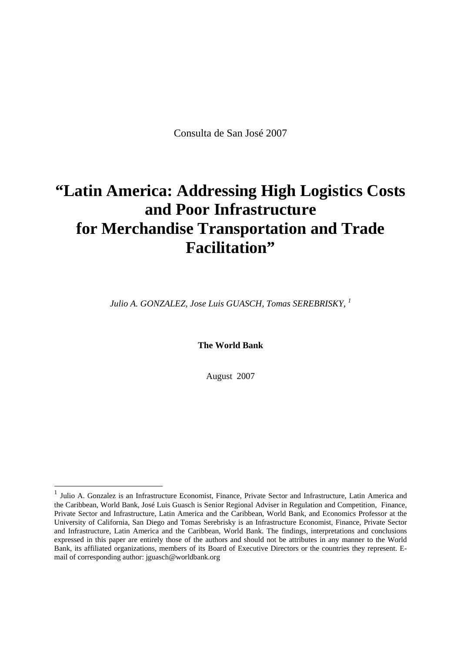Consulta de San José 2007

# **"Latin America: Addressing High Logistics Costs and Poor Infrastructure for Merchandise Transportation and Trade Facilitation"**

*Julio A. GONZALEZ, Jose Luis GUASCH, Tomas SEREBRISKY, 1*

**The World Bank** 

August 2007

-

<sup>1</sup> Julio A. Gonzalez is an Infrastructure Economist, Finance, Private Sector and Infrastructure, Latin America and the Caribbean, World Bank, José Luis Guasch is Senior Regional Adviser in Regulation and Competition, Finance, Private Sector and Infrastructure, Latin America and the Caribbean, World Bank, and Economics Professor at the University of California, San Diego and Tomas Serebrisky is an Infrastructure Economist, Finance, Private Sector and Infrastructure, Latin America and the Caribbean, World Bank. The findings, interpretations and conclusions expressed in this paper are entirely those of the authors and should not be attributes in any manner to the World Bank, its affiliated organizations, members of its Board of Executive Directors or the countries they represent. Email of corresponding author: jguasch@worldbank.org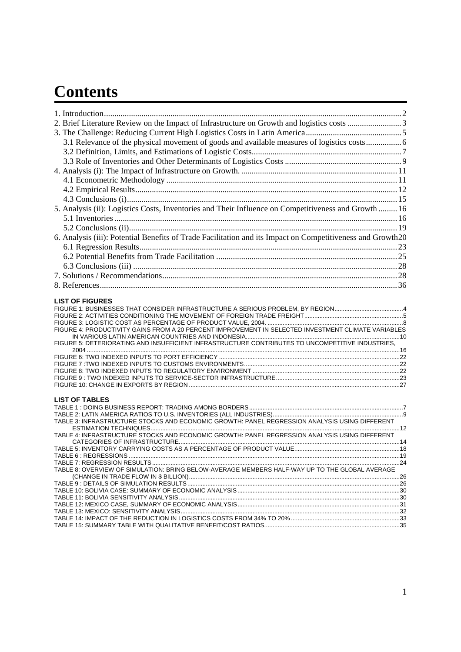# **Contents**

| 3.1 Relevance of the physical movement of goods and available measures of logistics costs 6                |  |
|------------------------------------------------------------------------------------------------------------|--|
|                                                                                                            |  |
|                                                                                                            |  |
|                                                                                                            |  |
|                                                                                                            |  |
|                                                                                                            |  |
|                                                                                                            |  |
|                                                                                                            |  |
| 5. Analysis (ii): Logistics Costs, Inventories and Their Influence on Competitiveness and Growth  16       |  |
|                                                                                                            |  |
|                                                                                                            |  |
| 6. Analysis (iii): Potential Benefits of Trade Facilitation and its Impact on Competitiveness and Growth20 |  |
|                                                                                                            |  |
|                                                                                                            |  |
|                                                                                                            |  |
|                                                                                                            |  |
|                                                                                                            |  |
|                                                                                                            |  |
| <b>LIST OF FIGURES</b>                                                                                     |  |
| FIGURE 1: BUSINESSES THAT CONSIDER INFRASTRUCTURE A SERIOUS PROBLEM, BY REGION4                            |  |
|                                                                                                            |  |
|                                                                                                            |  |
| FIGURE 4: PRODUCTIVITY GAINS FROM A 20 PERCENT IMPROVEMENT IN SELECTED INVESTMENT CLIMATE VARIABLES        |  |
| FIGURE 5: DETERIORATING AND INSUFFICIENT INFRASTRUCTURE CONTRIBUTES TO UNCOMPETITIVE INDUSTRIES,           |  |
|                                                                                                            |  |
|                                                                                                            |  |
|                                                                                                            |  |
|                                                                                                            |  |
|                                                                                                            |  |
|                                                                                                            |  |
| <b>LIST OF TABLES</b>                                                                                      |  |
|                                                                                                            |  |
|                                                                                                            |  |
| TABLE 3: INFRASTRUCTURE STOCKS AND ECONOMIC GROWTH: PANEL REGRESSION ANALYSIS USING DIFFERENT              |  |
| TABLE 4: INFRASTRUCTURE STOCKS AND ECONOMIC GROWTH: PANEL REGRESSION ANALYSIS USING DIFFERENT              |  |
|                                                                                                            |  |
|                                                                                                            |  |
|                                                                                                            |  |
| TABLE 8: OVERVIEW OF SIMULATION: BRING BELOW-AVERAGE MEMBERS HALF-WAY UP TO THE GLOBAL AVERAGE             |  |
|                                                                                                            |  |
|                                                                                                            |  |
|                                                                                                            |  |
|                                                                                                            |  |
|                                                                                                            |  |
|                                                                                                            |  |
|                                                                                                            |  |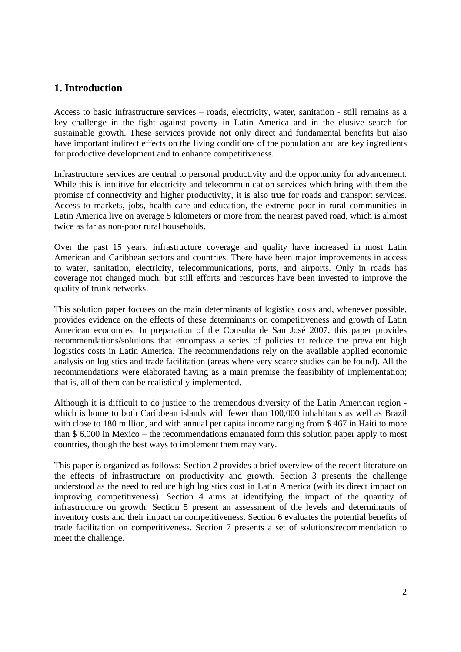# **1. Introduction**

Access to basic infrastructure services – roads, electricity, water, sanitation - still remains as a key challenge in the fight against poverty in Latin America and in the elusive search for sustainable growth. These services provide not only direct and fundamental benefits but also have important indirect effects on the living conditions of the population and are key ingredients for productive development and to enhance competitiveness.

Infrastructure services are central to personal productivity and the opportunity for advancement. While this is intuitive for electricity and telecommunication services which bring with them the promise of connectivity and higher productivity, it is also true for roads and transport services. Access to markets, jobs, health care and education, the extreme poor in rural communities in Latin America live on average 5 kilometers or more from the nearest paved road, which is almost twice as far as non-poor rural households.

Over the past 15 years, infrastructure coverage and quality have increased in most Latin American and Caribbean sectors and countries. There have been major improvements in access to water, sanitation, electricity, telecommunications, ports, and airports. Only in roads has coverage not changed much, but still efforts and resources have been invested to improve the quality of trunk networks.

This solution paper focuses on the main determinants of logistics costs and, whenever possible, provides evidence on the effects of these determinants on competitiveness and growth of Latin American economies. In preparation of the Consulta de San José 2007, this paper provides recommendations/solutions that encompass a series of policies to reduce the prevalent high logistics costs in Latin America. The recommendations rely on the available applied economic analysis on logistics and trade facilitation (areas where very scarce studies can be found). All the recommendations were elaborated having as a main premise the feasibility of implementation; that is, all of them can be realistically implemented.

Although it is difficult to do justice to the tremendous diversity of the Latin American region which is home to both Caribbean islands with fewer than 100,000 inhabitants as well as Brazil with close to 180 million, and with annual per capita income ranging from \$467 in Haiti to more than \$ 6,000 in Mexico – the recommendations emanated form this solution paper apply to most countries, though the best ways to implement them may vary.

This paper is organized as follows: Section 2 provides a brief overview of the recent literature on the effects of infrastructure on productivity and growth. Section 3 presents the challenge understood as the need to reduce high logistics cost in Latin America (with its direct impact on improving competitiveness). Section 4 aims at identifying the impact of the quantity of infrastructure on growth. Section 5 present an assessment of the levels and determinants of inventory costs and their impact on competitiveness. Section 6 evaluates the potential benefits of trade facilitation on competitiveness. Section 7 presents a set of solutions/recommendation to meet the challenge.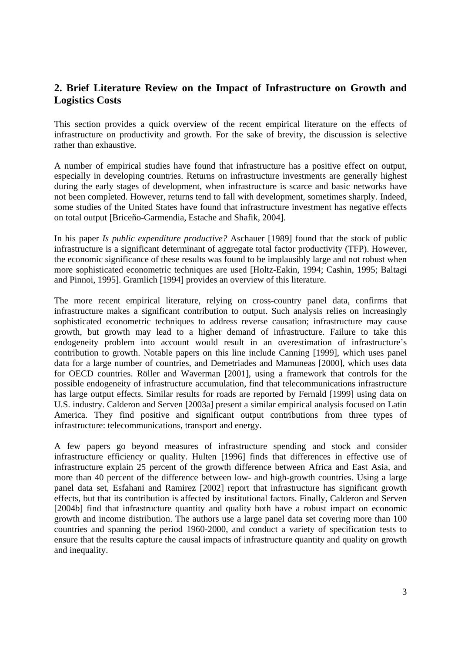# **2. Brief Literature Review on the Impact of Infrastructure on Growth and Logistics Costs**

This section provides a quick overview of the recent empirical literature on the effects of infrastructure on productivity and growth. For the sake of brevity, the discussion is selective rather than exhaustive.

A number of empirical studies have found that infrastructure has a positive effect on output, especially in developing countries. Returns on infrastructure investments are generally highest during the early stages of development, when infrastructure is scarce and basic networks have not been completed. However, returns tend to fall with development, sometimes sharply. Indeed, some studies of the United States have found that infrastructure investment has negative effects on total output [Briceño-Garmendia, Estache and Shafik, 2004].

In his paper *Is public expenditure productive?* Aschauer [1989] found that the stock of public infrastructure is a significant determinant of aggregate total factor productivity (TFP). However, the economic significance of these results was found to be implausibly large and not robust when more sophisticated econometric techniques are used [Holtz-Eakin, 1994; Cashin, 1995; Baltagi and Pinnoi, 1995]. Gramlich [1994] provides an overview of this literature.

The more recent empirical literature, relying on cross-country panel data, confirms that infrastructure makes a significant contribution to output. Such analysis relies on increasingly sophisticated econometric techniques to address reverse causation; infrastructure may cause growth, but growth may lead to a higher demand of infrastructure. Failure to take this endogeneity problem into account would result in an overestimation of infrastructure's contribution to growth. Notable papers on this line include Canning [1999], which uses panel data for a large number of countries, and Demetriades and Mamuneas [2000], which uses data for OECD countries. Röller and Waverman [2001], using a framework that controls for the possible endogeneity of infrastructure accumulation, find that telecommunications infrastructure has large output effects. Similar results for roads are reported by Fernald [1999] using data on U.S. industry. Calderon and Serven [2003a] present a similar empirical analysis focused on Latin America. They find positive and significant output contributions from three types of infrastructure: telecommunications, transport and energy.

A few papers go beyond measures of infrastructure spending and stock and consider infrastructure efficiency or quality. Hulten [1996] finds that differences in effective use of infrastructure explain 25 percent of the growth difference between Africa and East Asia, and more than 40 percent of the difference between low- and high-growth countries. Using a large panel data set, Esfahani and Ramirez [2002] report that infrastructure has significant growth effects, but that its contribution is affected by institutional factors. Finally, Calderon and Serven [2004b] find that infrastructure quantity and quality both have a robust impact on economic growth and income distribution. The authors use a large panel data set covering more than 100 countries and spanning the period 1960-2000, and conduct a variety of specification tests to ensure that the results capture the causal impacts of infrastructure quantity and quality on growth and inequality.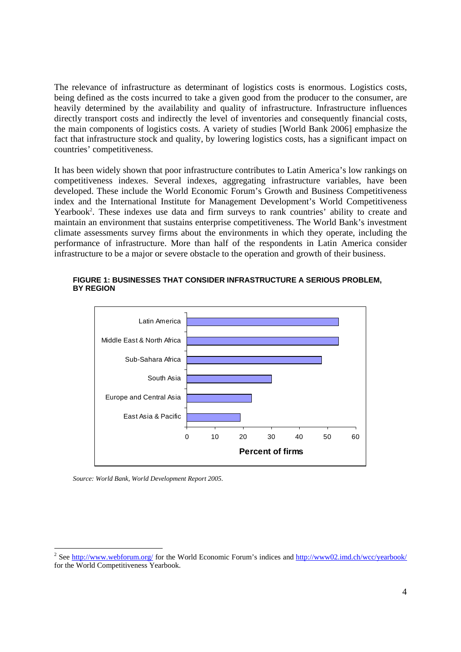The relevance of infrastructure as determinant of logistics costs is enormous. Logistics costs, being defined as the costs incurred to take a given good from the producer to the consumer, are heavily determined by the availability and quality of infrastructure. Infrastructure influences directly transport costs and indirectly the level of inventories and consequently financial costs, the main components of logistics costs. A variety of studies [World Bank 2006] emphasize the fact that infrastructure stock and quality, by lowering logistics costs, has a significant impact on countries' competitiveness.

It has been widely shown that poor infrastructure contributes to Latin America's low rankings on competitiveness indexes. Several indexes, aggregating infrastructure variables, have been developed. These include the World Economic Forum's Growth and Business Competitiveness index and the International Institute for Management Development's World Competitiveness Yearbook<sup>2</sup>. These indexes use data and firm surveys to rank countries' ability to create and maintain an environment that sustains enterprise competitiveness. The World Bank's investment climate assessments survey firms about the environments in which they operate, including the performance of infrastructure. More than half of the respondents in Latin America consider infrastructure to be a major or severe obstacle to the operation and growth of their business.



#### **FIGURE 1: BUSINESSES THAT CONSIDER INFRASTRUCTURE A SERIOUS PROBLEM, BY REGION**

*Source: World Bank, World Development Report 2005.* 

-

<sup>&</sup>lt;sup>2</sup> See http://www.webforum.org/ for the World Economic Forum's indices and http://www02.imd.ch/wcc/yearbook/ for the World Competitiveness Yearbook.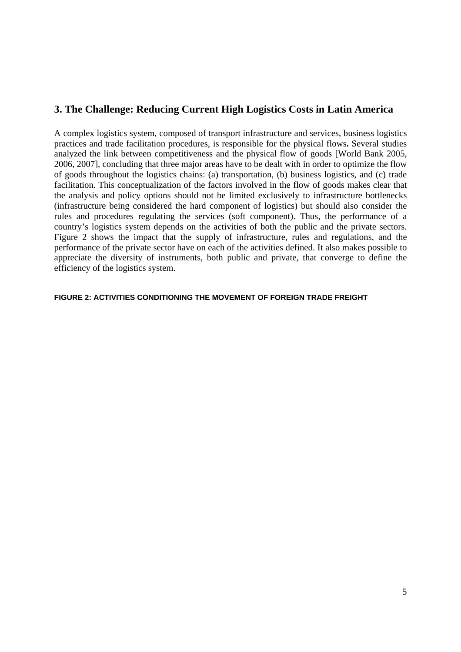# **3. The Challenge: Reducing Current High Logistics Costs in Latin America**

A complex logistics system, composed of transport infrastructure and services, business logistics practices and trade facilitation procedures, is responsible for the physical flows**.** Several studies analyzed the link between competitiveness and the physical flow of goods [World Bank 2005, 2006, 2007], concluding that three major areas have to be dealt with in order to optimize the flow of goods throughout the logistics chains: (a) transportation, (b) business logistics, and (c) trade facilitation. This conceptualization of the factors involved in the flow of goods makes clear that the analysis and policy options should not be limited exclusively to infrastructure bottlenecks (infrastructure being considered the hard component of logistics) but should also consider the rules and procedures regulating the services (soft component). Thus, the performance of a country's logistics system depends on the activities of both the public and the private sectors. Figure 2 shows the impact that the supply of infrastructure, rules and regulations, and the performance of the private sector have on each of the activities defined. It also makes possible to appreciate the diversity of instruments, both public and private, that converge to define the efficiency of the logistics system.

#### **FIGURE 2: ACTIVITIES CONDITIONING THE MOVEMENT OF FOREIGN TRADE FREIGHT**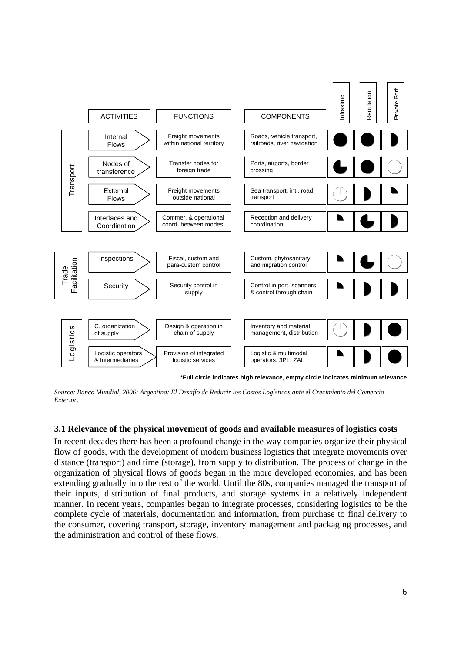

# **3.1 Relevance of the physical movement of goods and available measures of logistics costs**

In recent decades there has been a profound change in the way companies organize their physical flow of goods, with the development of modern business logistics that integrate movements over distance (transport) and time (storage), from supply to distribution. The process of change in the organization of physical flows of goods began in the more developed economies, and has been extending gradually into the rest of the world. Until the 80s, companies managed the transport of their inputs, distribution of final products, and storage systems in a relatively independent manner. In recent years, companies began to integrate processes, considering logistics to be the complete cycle of materials, documentation and information, from purchase to final delivery to the consumer, covering transport, storage, inventory management and packaging processes, and the administration and control of these flows.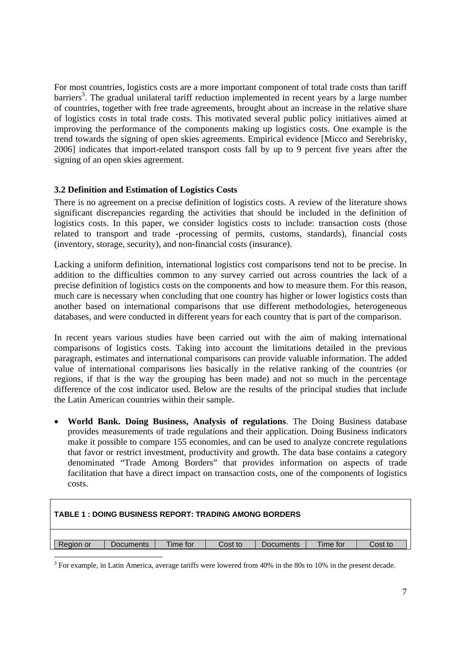For most countries, logistics costs are a more important component of total trade costs than tariff barriers<sup>3</sup>. The gradual unilateral tariff reduction implemented in recent years by a large number of countries, together with free trade agreements, brought about an increase in the relative share of logistics costs in total trade costs. This motivated several public policy initiatives aimed at improving the performance of the components making up logistics costs. One example is the trend towards the signing of open skies agreements. Empirical evidence [Micco and Serebrisky, 2006] indicates that import-related transport costs fall by up to 9 percent five years after the signing of an open skies agreement.

## **3.2 Definition and Estimation of Logistics Costs**

There is no agreement on a precise definition of logistics costs. A review of the literature shows significant discrepancies regarding the activities that should be included in the definition of logistics costs. In this paper, we consider logistics costs to include: transaction costs (those related to transport and trade -processing of permits, customs, standards), financial costs (inventory, storage, security), and non-financial costs (insurance).

Lacking a uniform definition, international logistics cost comparisons tend not to be precise. In addition to the difficulties common to any survey carried out across countries the lack of a precise definition of logistics costs on the components and how to measure them. For this reason, much care is necessary when concluding that one country has higher or lower logistics costs than another based on international comparisons that use different methodologies, heterogeneous databases, and were conducted in different years for each country that is part of the comparison.

In recent years various studies have been carried out with the aim of making international comparisons of logistics costs. Taking into account the limitations detailed in the previous paragraph, estimates and international comparisons can provide valuable information. The added value of international comparisons lies basically in the relative ranking of the countries (or regions, if that is the way the grouping has been made) and not so much in the percentage difference of the cost indicator used. Below are the results of the principal studies that include the Latin American countries within their sample.

• **World Bank. Doing Business, Analysis of regulations**. The Doing Business database provides measurements of trade regulations and their application. Doing Business indicators make it possible to compare 155 economies, and can be used to analyze concrete regulations that favor or restrict investment, productivity and growth. The data base contains a category denominated "Trade Among Borders" that provides information on aspects of trade facilitation that have a direct impact on transaction costs, one of the components of logistics costs.

| TABLE 1 : DOING BUSINESS REPORT: TRADING AMONG BORDERS |                                            |  |  |                  |  |  |  |  |  |
|--------------------------------------------------------|--------------------------------------------|--|--|------------------|--|--|--|--|--|
| Region or                                              | Time for<br>Time for<br>Cost to<br>Cost to |  |  |                  |  |  |  |  |  |
|                                                        | <b>Documents</b>                           |  |  | <b>Documents</b> |  |  |  |  |  |

 $3$  For example, in Latin America, average tariffs were lowered from 40% in the 80s to 10% in the present decade.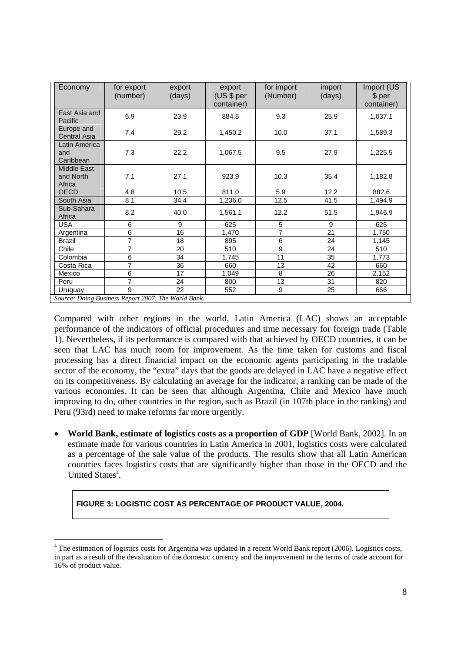| East Asia and<br>6.9<br>23.9<br>884.8<br>9.3<br>25.9<br>Pacific<br>Europe and<br>7.4<br>29.2<br>1,450.2<br>10.0<br>37.1<br><b>Central Asia</b><br>Latin America | 1,037.1<br>1,589.3 |
|-----------------------------------------------------------------------------------------------------------------------------------------------------------------|--------------------|
|                                                                                                                                                                 |                    |
|                                                                                                                                                                 |                    |
| 7.3<br>22.2<br>1,067.5<br>9.5<br>27.9<br>and<br>Caribbean                                                                                                       | 1,225.5            |
| Middle East<br>7.1<br>27.1<br>10.3<br>and North<br>923.9<br>35.4<br>Africa                                                                                      | 1,182.8            |
| 12.2<br>4.8<br>10.5<br>811.0<br>5.9<br><b>OECD</b>                                                                                                              | 882.6              |
| South Asia<br>8.1<br>34.4<br>12.5<br>41.5<br>1,236.0                                                                                                            | 1,494.9            |
| Sub-Sahara<br>8.2<br>40.0<br>12.2<br>51.5<br>1,561.1<br>Africa                                                                                                  | 1,946.9            |
| 6<br>9<br>5<br>9<br><b>USA</b><br>625                                                                                                                           | 625                |
| 6<br>7<br>21<br>16<br>Argentina<br>1,470                                                                                                                        | 1,750              |
| 7<br>6<br>18<br>895<br>24<br><b>Brazil</b>                                                                                                                      | 1,145              |
| 7<br>9<br>20<br>510<br>24<br>Chile                                                                                                                              | 510                |
| 11<br>Colombia<br>6<br>34<br>35<br>1,745                                                                                                                        | 1,773              |
| $\overline{7}$<br>36<br>13<br>Costa Rica<br>660<br>42                                                                                                           | 660                |
| 6<br>8<br>17<br>26<br>Mexico<br>1,049                                                                                                                           | 2,152              |
| 7<br>13<br>31<br>24<br>800<br>Peru                                                                                                                              | 820                |
| 9<br>22<br>9<br>552<br>25<br>Uruguay                                                                                                                            | 666                |

Compared with other regions in the world, Latin America (LAC) shows an acceptable performance of the indicators of official procedures and time necessary for foreign trade (Table 1). Nevertheless, if its performance is compared with that achieved by OECD countries, it can be seen that LAC has much room for improvement. As the time taken for customs and fiscal processing has a direct financial impact on the economic agents participating in the tradable sector of the economy, the "extra" days that the goods are delayed in LAC have a negative effect on its competitiveness. By calculating an average for the indicator, a ranking can be made of the various economies. It can be seen that although Argentina, Chile and Mexico have much improving to do, other countries in the region, such as Brazil (in 107th place in the ranking) and Peru (93rd) need to make reforms far more urgently.

• **World Bank, estimate of logistics costs as a proportion of GDP** [World Bank, 2002]. In an estimate made for various countries in Latin America in 2001, logistics costs were calculated as a percentage of the sale value of the products. The results show that all Latin American countries faces logistics costs that are significantly higher than those in the OECD and the United States<sup>4</sup>.

#### **FIGURE 3: LOGISTIC COST AS PERCENTAGE OF PRODUCT VALUE, 2004.**

-

<sup>&</sup>lt;sup>4</sup> The estimation of logistics costs for Argentina was updated in a recent World Bank report (2006). Logistics costs, in part as a result of the devaluation of the domestic currency and the improvement in the terms of trade account for 16% of product value.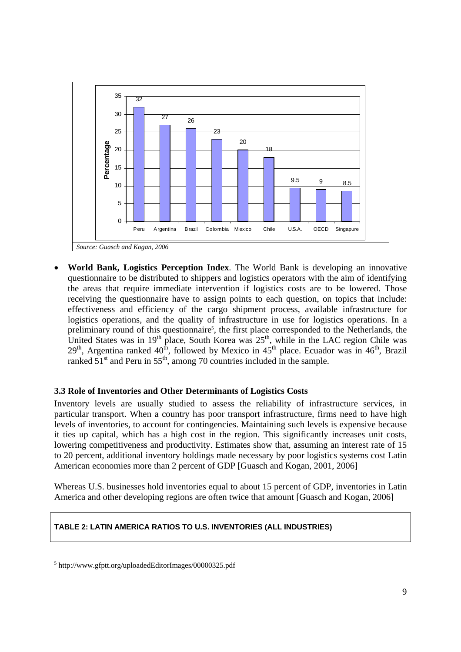

• **World Bank, Logistics Perception Index**. The World Bank is developing an innovative questionnaire to be distributed to shippers and logistics operators with the aim of identifying the areas that require immediate intervention if logistics costs are to be lowered. Those receiving the questionnaire have to assign points to each question, on topics that include: effectiveness and efficiency of the cargo shipment process, available infrastructure for logistics operations, and the quality of infrastructure in use for logistics operations. In a preliminary round of this questionnaire<sup>5</sup>, the first place corresponded to the Netherlands, the United States was in 19<sup>th</sup> place, South Korea was  $25<sup>th</sup>$ , while in the LAC region Chile was  $29<sup>th</sup>$ , Argentina ranked  $40<sup>th</sup>$ , followed by Mexico in  $45<sup>th</sup>$  place. Ecuador was in  $46<sup>th</sup>$ , Brazil ranked  $51<sup>st</sup>$  and Peru in  $55<sup>th</sup>$ , among 70 countries included in the sample.

#### **3.3 Role of Inventories and Other Determinants of Logistics Costs**

Inventory levels are usually studied to assess the reliability of infrastructure services, in particular transport. When a country has poor transport infrastructure, firms need to have high levels of inventories, to account for contingencies. Maintaining such levels is expensive because it ties up capital, which has a high cost in the region. This significantly increases unit costs, lowering competitiveness and productivity. Estimates show that, assuming an interest rate of 15 to 20 percent, additional inventory holdings made necessary by poor logistics systems cost Latin American economies more than 2 percent of GDP [Guasch and Kogan, 2001, 2006]

Whereas U.S. businesses hold inventories equal to about 15 percent of GDP, inventories in Latin America and other developing regions are often twice that amount [Guasch and Kogan, 2006]

#### **TABLE 2: LATIN AMERICA RATIOS TO U.S. INVENTORIES (ALL INDUSTRIES)**

<sup>1</sup> 5 http://www.gfptt.org/uploadedEditorImages/00000325.pdf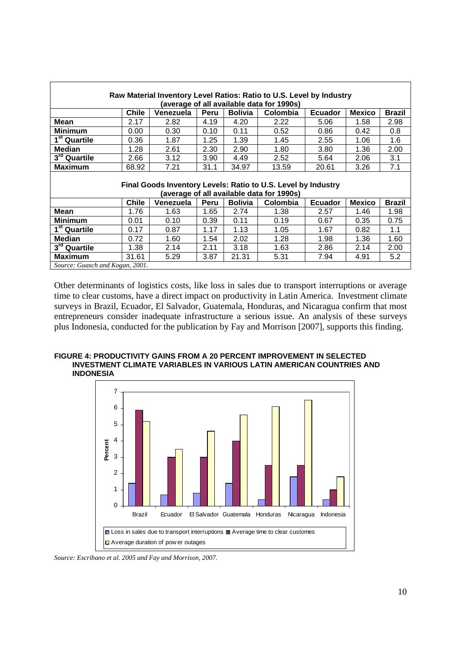| Raw Material Inventory Level Ratios: Ratio to U.S. Level by Industry                                         |       |           |      |                |                                           |                |               |               |  |  |  |  |  |
|--------------------------------------------------------------------------------------------------------------|-------|-----------|------|----------------|-------------------------------------------|----------------|---------------|---------------|--|--|--|--|--|
| (average of all available data for 1990s)                                                                    |       |           |      |                |                                           |                |               |               |  |  |  |  |  |
| <b>Bolivia</b><br>Venezuela<br>Peru<br>Colombia<br>Chile<br><b>Mexico</b><br><b>Ecuador</b><br><b>Brazil</b> |       |           |      |                |                                           |                |               |               |  |  |  |  |  |
| <b>Mean</b>                                                                                                  | 2.17  | 2.82      | 4.19 | 4.20           | 2.22                                      | 5.06           | 1.58          | 2.98          |  |  |  |  |  |
| <b>Minimum</b>                                                                                               | 0.00  | 0.30      | 0.10 | 0.11           | 0.52                                      | 0.86           | 0.42          | 0.8           |  |  |  |  |  |
| $\overline{1}^{\rm st}$ Quartile                                                                             | 0.36  | 1.87      | 1.25 | 1.39           | 1.45                                      | 2.55           | 1.06          | 1.6           |  |  |  |  |  |
| <b>Median</b>                                                                                                | 1.28  | 2.61      | 2.30 | 2.90           | 1.80                                      | 3.80           | 1.36          | 2.00          |  |  |  |  |  |
| $3rd$ Quartile                                                                                               | 2.66  | 3.12      | 3.90 | 4.49           | 2.52                                      | 5.64           | 2.06          | 3.1           |  |  |  |  |  |
| Maximum                                                                                                      | 68.92 | 7.21      | 31.1 | 34.97          | 13.59                                     | 20.61          | 3.26          | 7.1           |  |  |  |  |  |
|                                                                                                              |       |           |      |                |                                           |                |               |               |  |  |  |  |  |
| Final Goods Inventory Levels: Ratio to U.S. Level by Industry                                                |       |           |      |                |                                           |                |               |               |  |  |  |  |  |
|                                                                                                              |       |           |      |                |                                           |                |               |               |  |  |  |  |  |
|                                                                                                              |       |           |      |                | (average of all available data for 1990s) |                |               |               |  |  |  |  |  |
|                                                                                                              | Chile | Venezuela | Peru | <b>Bolivia</b> | Colombia                                  | <b>Ecuador</b> | <b>Mexico</b> | <b>Brazil</b> |  |  |  |  |  |
| <b>Mean</b>                                                                                                  | 1.76  | 1.63      | 1.65 | 2.74           | 1.38                                      | 2.57           | 1.46          | 1.98          |  |  |  |  |  |
| <b>Minimum</b>                                                                                               | 0.01  | 0.10      | 0.39 | 0.11           | 0.19                                      | 0.67           | 0.35          | 0.75          |  |  |  |  |  |
| 1 <sup>st</sup> Quartile                                                                                     | 0.17  | 0.87      | 1.17 | 1.13           | 1.05                                      | 1.67           | 0.82          | 1.1           |  |  |  |  |  |
| <b>Median</b>                                                                                                | 0.72  | 1.60      | 1.54 | 2.02           | 1.28                                      | 1.98           | 1.36          | 1.60          |  |  |  |  |  |
| 3rd Quartile                                                                                                 | 1.38  | 2.14      | 2.11 | 3.18           | 1.63                                      | 2.86           | 2.14          | 2.00          |  |  |  |  |  |
| <b>Maximum</b>                                                                                               | 31.61 | 5.29      | 3.87 | 21.31          | 5.31                                      | 7.94           | 4.91          | 5.2           |  |  |  |  |  |

Other determinants of logistics costs, like loss in sales due to transport interruptions or average time to clear customs, have a direct impact on productivity in Latin America. Investment climate surveys in Brazil, Ecuador, El Salvador, Guatemala, Honduras, and Nicaragua confirm that most entrepreneurs consider inadequate infrastructure a serious issue. An analysis of these surveys plus Indonesia, conducted for the publication by Fay and Morrison [2007], supports this finding.

#### **FIGURE 4: PRODUCTIVITY GAINS FROM A 20 PERCENT IMPROVEMENT IN SELECTED INVESTMENT CLIMATE VARIABLES IN VARIOUS LATIN AMERICAN COUNTRIES AND INDONESIA**



*Source: Escribano et al. 2005 and Fay and Morrison, 2007.*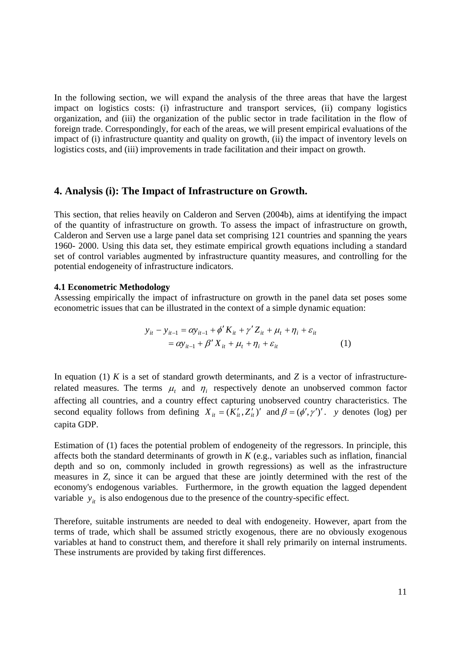In the following section, we will expand the analysis of the three areas that have the largest impact on logistics costs: (i) infrastructure and transport services, (ii) company logistics organization, and (iii) the organization of the public sector in trade facilitation in the flow of foreign trade. Correspondingly, for each of the areas, we will present empirical evaluations of the impact of (i) infrastructure quantity and quality on growth, (ii) the impact of inventory levels on logistics costs, and (iii) improvements in trade facilitation and their impact on growth.

#### **4. Analysis (i): The Impact of Infrastructure on Growth.**

This section, that relies heavily on Calderon and Serven (2004b), aims at identifying the impact of the quantity of infrastructure on growth. To assess the impact of infrastructure on growth, Calderon and Serven use a large panel data set comprising 121 countries and spanning the years 1960- 2000. Using this data set, they estimate empirical growth equations including a standard set of control variables augmented by infrastructure quantity measures, and controlling for the potential endogeneity of infrastructure indicators.

#### **4.1 Econometric Methodology**

Assessing empirically the impact of infrastructure on growth in the panel data set poses some econometric issues that can be illustrated in the context of a simple dynamic equation:

$$
y_{it} - y_{it-1} = \alpha y_{it-1} + \phi' K_{it} + \gamma' Z_{it} + \mu_t + \eta_i + \varepsilon_{it}
$$
  
=  $\alpha y_{it-1} + \beta' X_{it} + \mu_t + \eta_i + \varepsilon_{it}$  (1)

In equation (1)  $K$  is a set of standard growth determinants, and  $Z$  is a vector of infrastructurerelated measures. The terms  $\mu_t$  and  $\eta_i$  respectively denote an unobserved common factor affecting all countries, and a country effect capturing unobserved country characteristics. The second equality follows from defining  $X_{it} = (K'_{it}, Z'_{it})'$  and  $\beta = (\phi', \gamma')'$ . *y* denotes (log) per capita GDP.

Estimation of (1) faces the potential problem of endogeneity of the regressors. In principle, this affects both the standard determinants of growth in *K* (e.g., variables such as inflation, financial depth and so on, commonly included in growth regressions) as well as the infrastructure measures in *Z*, since it can be argued that these are jointly determined with the rest of the economy's endogenous variables. Furthermore, in the growth equation the lagged dependent variable  $y_{it}$  is also endogenous due to the presence of the country-specific effect.

Therefore, suitable instruments are needed to deal with endogeneity. However, apart from the terms of trade, which shall be assumed strictly exogenous, there are no obviously exogenous variables at hand to construct them, and therefore it shall rely primarily on internal instruments. These instruments are provided by taking first differences.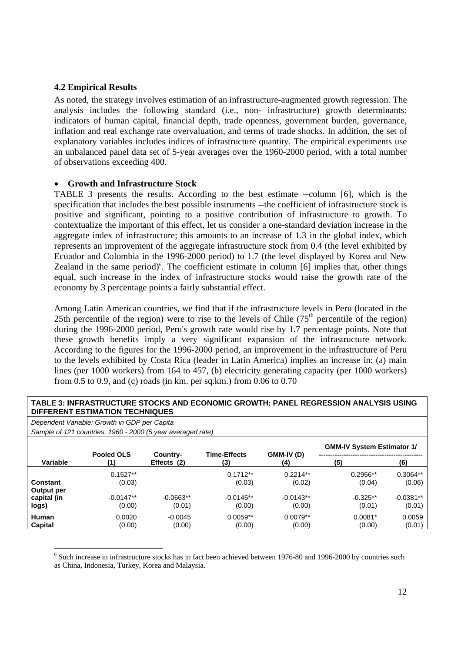#### **4.2 Empirical Results**

As noted, the strategy involves estimation of an infrastructure-augmented growth regression. The analysis includes the following standard (i.e., non- infrastructure) growth determinants: indicators of human capital, financial depth, trade openness, government burden, governance, inflation and real exchange rate overvaluation, and terms of trade shocks. In addition, the set of explanatory variables includes indices of infrastructure quantity. The empirical experiments use an unbalanced panel data set of 5-year averages over the 1960-2000 period, with a total number of observations exceeding 400.

#### • **Growth and Infrastructure Stock**

TABLE 3 presents the results. According to the best estimate --column [6], which is the specification that includes the best possible instruments --the coefficient of infrastructure stock is positive and significant, pointing to a positive contribution of infrastructure to growth. To contextualize the important of this effect, let us consider a one-standard deviation increase in the aggregate index of infrastructure; this amounts to an increase of 1.3 in the global index, which represents an improvement of the aggregate infrastructure stock from 0.4 (the level exhibited by Ecuador and Colombia in the 1996-2000 period) to 1.7 (the level displayed by Korea and New Zealand in the same period) $6$ . The coefficient estimate in column [6] implies that, other things equal, such increase in the index of infrastructure stocks would raise the growth rate of the economy by 3 percentage points a fairly substantial effect.

Among Latin American countries, we find that if the infrastructure levels in Peru (located in the 25th percentile of the region) were to rise to the levels of Chile  $(75<sup>th</sup>$  percentile of the region) during the 1996-2000 period, Peru's growth rate would rise by 1.7 percentage points. Note that these growth benefits imply a very significant expansion of the infrastructure network. According to the figures for the 1996-2000 period, an improvement in the infrastructure of Peru to the levels exhibited by Costa Rica (leader in Latin America) implies an increase in: (a) main lines (per 1000 workers) from 164 to 457, (b) electricity generating capacity (per 1000 workers) from 0.5 to 0.9, and (c) roads (in km. per sq.km.) from 0.06 to 0.70

#### **TABLE 3: INFRASTRUCTURE STOCKS AND ECONOMIC GROWTH: PANEL REGRESSION ANALYSIS USING DIFFERENT ESTIMATION TECHNIQUES**

*Dependent Variable: Growth in GDP per Capita Sample of 121 countries, 1960 - 2000 (5 year averaged rate)* 

-

|                 |             |                         |                            |                   | <b>GMM-IV System Estimator 1/</b> |             |
|-----------------|-------------|-------------------------|----------------------------|-------------------|-----------------------------------|-------------|
| Variable        | Pooled OLS  | Country-<br>Effects (2) | <b>Time-Effects</b><br>(3) | GMM-IV (D)<br>(4) | (5)                               | (6)         |
| <b>Constant</b> | $0.1527**$  |                         | $0.1712**$                 | $0.2214**$        | $0.2956**$                        | 0.3064**    |
| Output per      | (0.03)      |                         | (0.03)                     | (0.02)            | (0.04)                            | (0.06)      |
| capital (in     | $-0.0147**$ | $-0.0663**$             | $-0.0145**$                | $-0.0143**$       | $-0.325**$                        | $-0.0381**$ |
| logs)           | (0.00)      | (0.01)                  | (0.00)                     | (0.00)            | (0.01)                            | (0.01)      |
| Human           | 0.0020      | $-0.0045$               | $0.0059**$                 | $0.0079**$        | $0.0081*$                         | 0.0059      |
| <b>Capital</b>  | (0.00)      | (0.00)                  | (0.00)                     | (0.00)            | (0.00)                            | (0.01)      |

<sup>6</sup> Such increase in infrastructure stocks has in fact been achieved between 1976-80 and 1996-2000 by countries such as China, Indonesia, Turkey, Korea and Malaysia.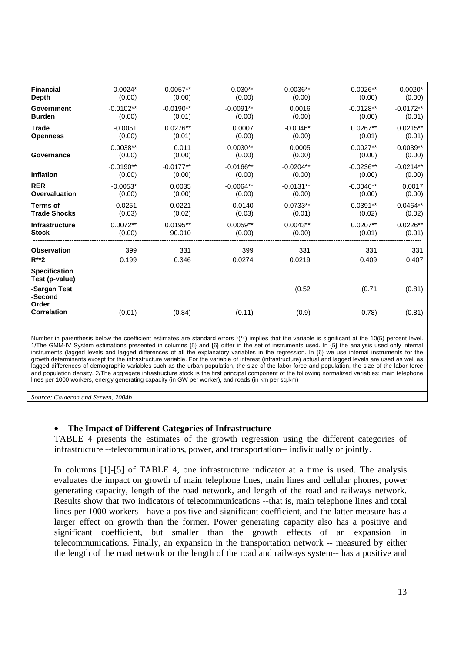| <b>Financial</b>                       | $0.0024*$   | $0.0057**$  | $0.030**$   | $0.0036**$  | $0.0026**$  | $0.0020*$   |
|----------------------------------------|-------------|-------------|-------------|-------------|-------------|-------------|
| <b>Depth</b>                           | (0.00)      | (0.00)      | (0.00)      | (0.00)      | (0.00)      | (0.00)      |
| Government                             | $-0.0102**$ | $-0.0190**$ | $-0.0091**$ | 0.0016      | $-0.0128**$ | $-0.0172**$ |
| <b>Burden</b>                          | (0.00)      | (0.01)      | (0.00)      | (0.00)      | (0.00)      | (0.01)      |
| <b>Trade</b>                           | $-0.0051$   | $0.0276**$  | 0.0007      | $-0.0046*$  | $0.0267**$  | $0.0215**$  |
| <b>Openness</b>                        | (0.00)      | (0.01)      | (0.00)      | (0.00)      | (0.01)      | (0.01)      |
| Governance                             | $0.0038**$  | 0.011       | $0.0030**$  | 0.0005      | $0.0027**$  | $0.0039**$  |
|                                        | (0.00)      | (0.00)      | (0.00)      | (0.00)      | (0.00)      | (0.00)      |
| Inflation                              | $-0.0190**$ | $-0.0177**$ | $-0.0166**$ | $-0.0204**$ | $-0.0236**$ | $-0.0214**$ |
|                                        | (0.00)      | (0.00)      | (0.00)      | (0.00)      | (0.00)      | (0.00)      |
| <b>RER</b>                             | $-0.0053*$  | 0.0035      | $-0.0064**$ | $-0.0131**$ | $-0.0046**$ | 0.0017      |
| Overvaluation                          | (0.00)      | (0.00)      | (0.00)      | (0.00)      | (0.00)      | (0.00)      |
| <b>Terms of</b>                        | 0.0251      | 0.0221      | 0.0140      | $0.0733**$  | $0.0391**$  | $0.0464**$  |
| <b>Trade Shocks</b>                    | (0.03)      | (0.02)      | (0.03)      | (0.01)      | (0.02)      | (0.02)      |
| <b>Infrastructure</b>                  | $0.0072**$  | $0.0195**$  | $0.0059**$  | $0.0043**$  | $0.0207**$  | $0.0226**$  |
| <b>Stock</b>                           | (0.00)      | 90.010      | (0.00)      | (0.00)      | (0.01)      | (0.01)      |
| <b>Observation</b>                     | 399         | 331         | 399         | 331         | 331         | 331         |
| $R^{**}2$                              | 0.199       | 0.346       | 0.0274      | 0.0219      | 0.409       | 0.407       |
| <b>Specification</b><br>Test (p-value) |             |             |             |             |             |             |
| -Sargan Test<br>-Second<br>Order       |             |             |             | (0.52)      | (0.71)      | (0.81)      |
| <b>Correlation</b>                     | (0.01)      | (0.84)      | (0.11)      | (0.9)       | 0.78)       | (0.81)      |

Number in parenthesis below the coefficient estimates are standard errors \*(\*\*) implies that the variable is significant at the 10(5) percent level. 1/The GMM-IV System estimations presented in columns {5} and {6} differ in the set of instruments used. In {5} the analysis used only internal instruments (lagged levels and lagged differences of all the explanatory variables in the regression. In {6} we use internal instruments for the growth determinants except for the infrastructure variable. For the variable of interest (infrastructure) actual and lagged levels are used as well as lagged differences of demographic variables such as the urban population, the size of the labor force and population, the size of the labor force and population density. 2/The aggregate infrastructure stock is the first principal component of the following normalized variables: main telephone lines per 1000 workers, energy generating capacity (in GW per worker), and roads (in km per sq.km)

*Source: Calderon and Serven, 2004b* 

#### • **The Impact of Different Categories of Infrastructure**

TABLE 4 presents the estimates of the growth regression using the different categories of infrastructure --telecommunications, power, and transportation-- individually or jointly.

In columns [1]-[5] of TABLE 4, one infrastructure indicator at a time is used. The analysis evaluates the impact on growth of main telephone lines, main lines and cellular phones, power generating capacity, length of the road network, and length of the road and railways network. Results show that two indicators of telecommunications --that is, main telephone lines and total lines per 1000 workers-- have a positive and significant coefficient, and the latter measure has a larger effect on growth than the former. Power generating capacity also has a positive and significant coefficient, but smaller than the growth effects of an expansion in telecommunications. Finally, an expansion in the transportation network -- measured by either the length of the road network or the length of the road and railways system-- has a positive and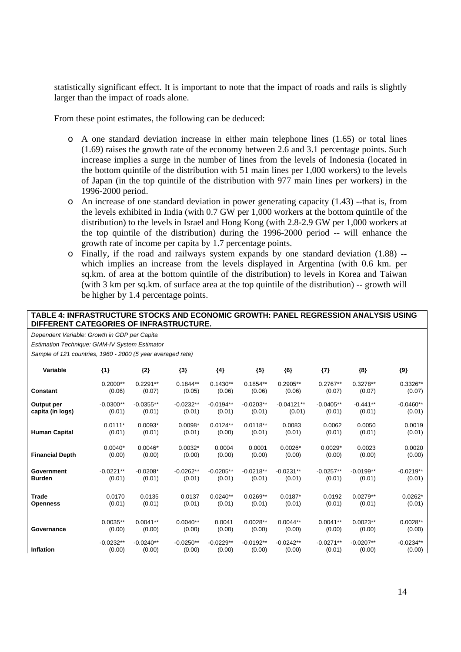statistically significant effect. It is important to note that the impact of roads and rails is slightly larger than the impact of roads alone.

From these point estimates, the following can be deduced:

- o A one standard deviation increase in either main telephone lines (1.65) or total lines (1.69) raises the growth rate of the economy between 2.6 and 3.1 percentage points. Such increase implies a surge in the number of lines from the levels of Indonesia (located in the bottom quintile of the distribution with 51 main lines per 1,000 workers) to the levels of Japan (in the top quintile of the distribution with 977 main lines per workers) in the 1996-2000 period.
- o An increase of one standard deviation in power generating capacity (1.43) --that is, from the levels exhibited in India (with 0.7 GW per 1,000 workers at the bottom quintile of the distribution) to the levels in Israel and Hong Kong (with 2.8-2.9 GW per 1,000 workers at the top quintile of the distribution) during the 1996-2000 period -- will enhance the growth rate of income per capita by 1.7 percentage points.
- o Finally, if the road and railways system expands by one standard deviation (1.88) which implies an increase from the levels displayed in Argentina (with 0.6 km. per sq.km. of area at the bottom quintile of the distribution) to levels in Korea and Taiwan (with 3 km per sq.km. of surface area at the top quintile of the distribution) -- growth will be higher by 1.4 percentage points.

#### **TABLE 4: INFRASTRUCTURE STOCKS AND ECONOMIC GROWTH: PANEL REGRESSION ANALYSIS USING DIFFERENT CATEGORIES OF INFRASTRUCTURE.**

*Dependent Variable: Growth in GDP per Capita* 

*Estimation Technique: GMM-IV System Estimator* 

*Sample of 121 countries, 1960 - 2000 (5 year averaged rate)* 

| $\frac{1}{2}$ of $\frac{1}{2}$ is countries, 1999. Even by your averaged rate, |             |             |             |             |             |              |             |             |             |
|--------------------------------------------------------------------------------|-------------|-------------|-------------|-------------|-------------|--------------|-------------|-------------|-------------|
| <b>Variable</b>                                                                | ${1}$       | ${2}$       | ${3}$       | {4}         | ${5}$       | ${6}$        | $\{7\}$     | ${8}$       | $\{9\}$     |
| Constant                                                                       | $0.2000**$  | $0.2291**$  | $0.1844**$  | $0.1430**$  | $0.1854**$  | $0.2905**$   | $0.2767**$  | $0.3278**$  | 0.3326**    |
|                                                                                | (0.06)      | (0.07)      | (0.05)      | (0.06)      | (0.06)      | (0.06)       | (0.07)      | (0.07)      | (0.07)      |
| Output per                                                                     | $-0.0300**$ | $-0.0355**$ | $-0.0232**$ | $-0.0194**$ | $-0.0203**$ | $-0.04121**$ | $-0.0405**$ | $-0.441**$  | $-0.0460**$ |
| capita (in logs)                                                               | (0.01)      | (0.01)      | (0.01)      | (0.01)      | (0.01)      | (0.01)       | (0.01)      | (0.01)      | (0.01)      |
| <b>Human Capital</b>                                                           | $0.0111*$   | $0.0093*$   | $0.0098*$   | $0.0124**$  | $0.0118**$  | 0.0083       | 0.0062      | 0.0050      | 0.0019      |
|                                                                                | (0.01)      | (0.01)      | (0.01)      | (0.00)      | (0.01)      | (0.01)       | (0.01)      | (0.01)      | (0.01)      |
| <b>Financial Depth</b>                                                         | $0.0040*$   | $0.0046*$   | $0.0032*$   | 0.0004      | 0.0001      | $0.0026*$    | $0.0029*$   | 0.0023      | 0.0020      |
|                                                                                | (0.00)      | (0.00)      | (0.00)      | (0.00)      | (0.00)      | (0.00)       | (0.00)      | (0.00)      | (0.00)      |
| Government                                                                     | $-0.0221**$ | $-0.0208*$  | $-0.0262**$ | $-0.0205**$ | $-0.0218**$ | $-0.0231**$  | $-0.0257**$ | $-0.0199**$ | $-0.0219**$ |
| <b>Burden</b>                                                                  | (0.01)      | (0.01)      | (0.01)      | (0.01)      | (0.01)      | (0.01)       | (0.01)      | (0.01)      | (0.01)      |
| Trade                                                                          | 0.0170      | 0.0135      | 0.0137      | $0.0240**$  | $0.0269**$  | $0.0187*$    | 0.0192      | $0.0279**$  | $0.0262*$   |
| Openness                                                                       | (0.01)      | (0.01)      | (0.01)      | (0.01)      | (0.01)      | (0.01)       | (0.01)      | (0.01)      | (0.01)      |
| Governance                                                                     | $0.0035**$  | $0.0041**$  | $0.0040**$  | 0.0041      | $0.0028**$  | $0.0044**$   | $0.0041**$  | $0.0023**$  | $0.0028**$  |
|                                                                                | (0.00)      | (0.00)      | (0.00)      | (0.00)      | (0.00)      | (0.00)       | (0.00)      | (0.00)      | (0.00)      |
| Inflation                                                                      | $-0.0232**$ | $-0.0240**$ | $-0.0250**$ | $-0.0229**$ | $-0.0192**$ | $-0.0242**$  | $-0.0271**$ | $-0.0207**$ | $-0.0234**$ |
|                                                                                | (0.00)      | (0.00)      | (0.00)      | (0.00)      | (0.00)      | (0.00)       | (0.01)      | (0.00)      | (0.00)      |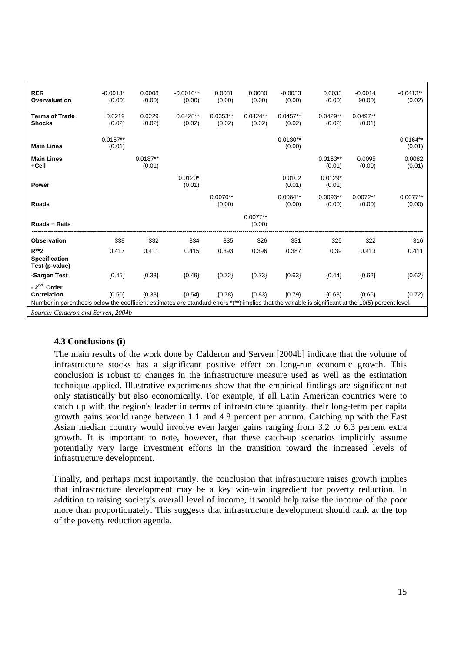| <b>RER</b><br>Overvaluation                                                                                                                                                                                                          | $-0.0013*$<br>(0.00) | 0.0008<br>(0.00)     | $-0.0010**$<br>(0.00) | 0.0031<br>(0.00)     | 0.0030<br>(0.00)     | $-0.0033$<br>(0.00)  | 0.0033<br>(0.00)     | $-0.0014$<br>90.00   | $-0.0413**$<br>(0.02) |
|--------------------------------------------------------------------------------------------------------------------------------------------------------------------------------------------------------------------------------------|----------------------|----------------------|-----------------------|----------------------|----------------------|----------------------|----------------------|----------------------|-----------------------|
| <b>Terms of Trade</b><br><b>Shocks</b>                                                                                                                                                                                               | 0.0219<br>(0.02)     | 0.0229<br>(0.02)     | $0.0428**$<br>(0.02)  | $0.0353**$<br>(0.02) | $0.0424**$<br>(0.02) | $0.0457**$<br>(0.02) | $0.0429**$<br>(0.02) | $0.0497**$<br>(0.01) |                       |
| <b>Main Lines</b>                                                                                                                                                                                                                    | $0.0157**$<br>(0.01) |                      |                       |                      |                      | $0.0130**$<br>(0.00) |                      |                      | $0.0164**$<br>(0.01)  |
| <b>Main Lines</b><br>+Cell                                                                                                                                                                                                           |                      | $0.0187**$<br>(0.01) |                       |                      |                      |                      | $0.0153**$<br>(0.01) | 0.0095<br>(0.00)     | 0.0082<br>(0.01)      |
| <b>Power</b>                                                                                                                                                                                                                         |                      |                      | $0.0120*$<br>(0.01)   |                      |                      | 0.0102<br>(0.01)     | $0.0129*$<br>(0.01)  |                      |                       |
| <b>Roads</b>                                                                                                                                                                                                                         |                      |                      |                       | $0.0070**$<br>(0.00) |                      | $0.0084**$<br>(0.00) | $0.0093**$<br>(0.00) | $0.0072**$<br>(0.00) | $0.0077**$<br>(0.00)  |
| Roads + Rails                                                                                                                                                                                                                        |                      |                      |                       |                      | $0.0077**$<br>(0.00) |                      |                      |                      |                       |
| <b>Observation</b>                                                                                                                                                                                                                   | 338                  | 332                  | 334                   | 335                  | 326                  | 331                  | 325                  | 322                  | 316                   |
| $R^{**}2$<br><b>Specification</b><br>Test (p-value)                                                                                                                                                                                  | 0.417                | 0.411                | 0.415                 | 0.393                | 0.396                | 0.387                | 0.39                 | 0.413                | 0.411                 |
| -Sargan Test                                                                                                                                                                                                                         | ${0.45}$             | ${0.33}$             | ${0.49}$              | ${0.72}$             | ${0.73}$             | ${0.63}$             | ${0.44}$             | ${0.62}$             | ${0.62}$              |
| - 2 <sup>nd</sup> Order<br>Correlation<br>Number in parenthesis below the coefficient estimates are standard errors *(**) implies that the variable is significant at the 10(5) percent level.<br>Source: Calderon and Serven, 2004b | ${0.50}$             | ${0.38}$             | ${0.54}$              | ${0.78}$             | ${0.83}$             | ${0.79}$             | ${0.63}$             | (0.66)               | ${0.72}$              |
|                                                                                                                                                                                                                                      |                      |                      |                       |                      |                      |                      |                      |                      |                       |

#### **4.3 Conclusions (i)**

 $\mathbf{I}$ 

The main results of the work done by Calderon and Serven [2004b] indicate that the volume of infrastructure stocks has a significant positive effect on long-run economic growth. This conclusion is robust to changes in the infrastructure measure used as well as the estimation technique applied. Illustrative experiments show that the empirical findings are significant not only statistically but also economically. For example, if all Latin American countries were to catch up with the region's leader in terms of infrastructure quantity, their long-term per capita growth gains would range between 1.1 and 4.8 percent per annum. Catching up with the East Asian median country would involve even larger gains ranging from 3.2 to 6.3 percent extra growth. It is important to note, however, that these catch-up scenarios implicitly assume potentially very large investment efforts in the transition toward the increased levels of infrastructure development.

Finally, and perhaps most importantly, the conclusion that infrastructure raises growth implies that infrastructure development may be a key win-win ingredient for poverty reduction. In addition to raising society's overall level of income, it would help raise the income of the poor more than proportionately. This suggests that infrastructure development should rank at the top of the poverty reduction agenda.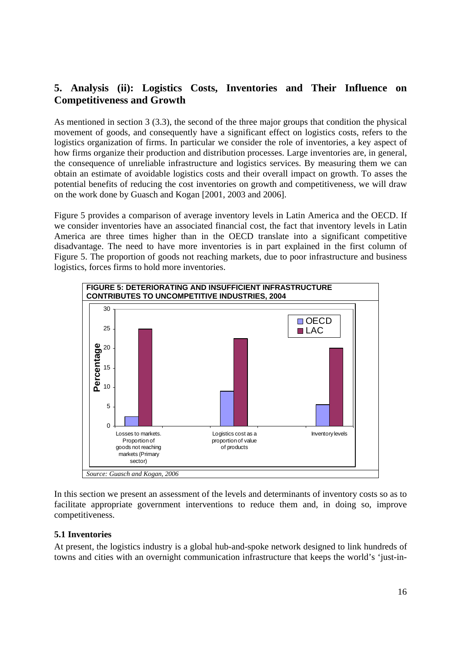# **5. Analysis (ii): Logistics Costs, Inventories and Their Influence on Competitiveness and Growth**

As mentioned in section 3 (3.3), the second of the three major groups that condition the physical movement of goods, and consequently have a significant effect on logistics costs, refers to the logistics organization of firms. In particular we consider the role of inventories, a key aspect of how firms organize their production and distribution processes. Large inventories are, in general, the consequence of unreliable infrastructure and logistics services. By measuring them we can obtain an estimate of avoidable logistics costs and their overall impact on growth. To asses the potential benefits of reducing the cost inventories on growth and competitiveness, we will draw on the work done by Guasch and Kogan [2001, 2003 and 2006].

Figure 5 provides a comparison of average inventory levels in Latin America and the OECD. If we consider inventories have an associated financial cost, the fact that inventory levels in Latin America are three times higher than in the OECD translate into a significant competitive disadvantage. The need to have more inventories is in part explained in the first column of Figure 5. The proportion of goods not reaching markets, due to poor infrastructure and business logistics, forces firms to hold more inventories.



In this section we present an assessment of the levels and determinants of inventory costs so as to facilitate appropriate government interventions to reduce them and, in doing so, improve competitiveness.

# **5.1 Inventories**

At present, the logistics industry is a global hub-and-spoke network designed to link hundreds of towns and cities with an overnight communication infrastructure that keeps the world's 'just-in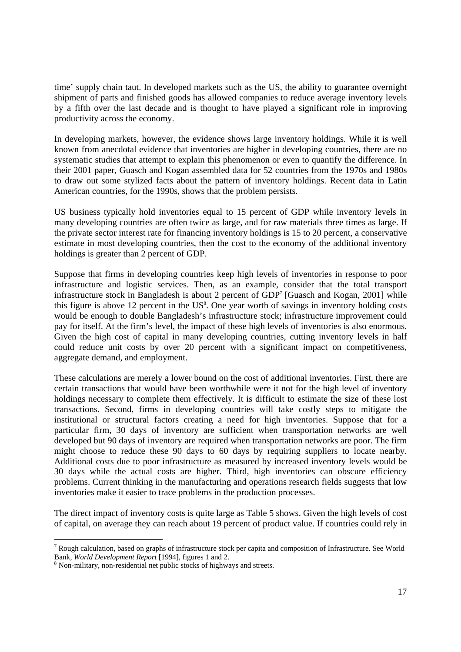time' supply chain taut. In developed markets such as the US, the ability to guarantee overnight shipment of parts and finished goods has allowed companies to reduce average inventory levels by a fifth over the last decade and is thought to have played a significant role in improving productivity across the economy.

In developing markets, however, the evidence shows large inventory holdings. While it is well known from anecdotal evidence that inventories are higher in developing countries, there are no systematic studies that attempt to explain this phenomenon or even to quantify the difference. In their 2001 paper, Guasch and Kogan assembled data for 52 countries from the 1970s and 1980s to draw out some stylized facts about the pattern of inventory holdings. Recent data in Latin American countries, for the 1990s, shows that the problem persists.

US business typically hold inventories equal to 15 percent of GDP while inventory levels in many developing countries are often twice as large, and for raw materials three times as large. If the private sector interest rate for financing inventory holdings is 15 to 20 percent, a conservative estimate in most developing countries, then the cost to the economy of the additional inventory holdings is greater than 2 percent of GDP.

Suppose that firms in developing countries keep high levels of inventories in response to poor infrastructure and logistic services. Then, as an example, consider that the total transport infrastructure stock in Bangladesh is about 2 percent of  $GDP<sup>7</sup>$  [Guasch and Kogan, 2001] while this figure is above  $12$  percent in the US<sup>8</sup>. One year worth of savings in inventory holding costs would be enough to double Bangladesh's infrastructure stock; infrastructure improvement could pay for itself. At the firm's level, the impact of these high levels of inventories is also enormous. Given the high cost of capital in many developing countries, cutting inventory levels in half could reduce unit costs by over 20 percent with a significant impact on competitiveness, aggregate demand, and employment.

These calculations are merely a lower bound on the cost of additional inventories. First, there are certain transactions that would have been worthwhile were it not for the high level of inventory holdings necessary to complete them effectively. It is difficult to estimate the size of these lost transactions. Second, firms in developing countries will take costly steps to mitigate the institutional or structural factors creating a need for high inventories. Suppose that for a particular firm, 30 days of inventory are sufficient when transportation networks are well developed but 90 days of inventory are required when transportation networks are poor. The firm might choose to reduce these 90 days to 60 days by requiring suppliers to locate nearby. Additional costs due to poor infrastructure as measured by increased inventory levels would be 30 days while the actual costs are higher. Third, high inventories can obscure efficiency problems. Current thinking in the manufacturing and operations research fields suggests that low inventories make it easier to trace problems in the production processes.

The direct impact of inventory costs is quite large as Table 5 shows. Given the high levels of cost of capital, on average they can reach about 19 percent of product value. If countries could rely in

-

 $7$  Rough calculation, based on graphs of infrastructure stock per capita and composition of Infrastructure. See World Bank, *World Development Report* [1994], figures 1 and 2.

<sup>&</sup>lt;sup>8</sup> Non-military, non-residential net public stocks of highways and streets.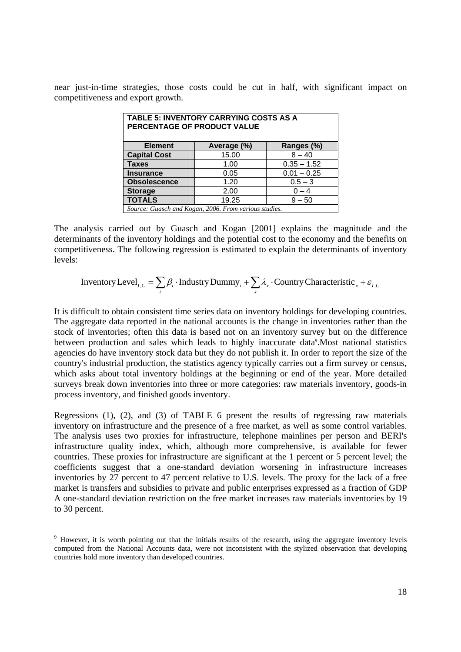near just-in-time strategies, those costs could be cut in half, with significant impact on competitiveness and export growth.

| <b>TABLE 5: INVENTORY CARRYING COSTS AS A</b><br>PERCENTAGE OF PRODUCT VALUE |                                                       |               |  |  |  |  |  |  |
|------------------------------------------------------------------------------|-------------------------------------------------------|---------------|--|--|--|--|--|--|
| <b>Element</b><br>Ranges (%)<br>Average (%)                                  |                                                       |               |  |  |  |  |  |  |
| 15.00<br><b>Capital Cost</b><br>$8 - 40$                                     |                                                       |               |  |  |  |  |  |  |
| <b>Taxes</b>                                                                 | 1.00                                                  | $0.35 - 1.52$ |  |  |  |  |  |  |
| <b>Insurance</b>                                                             | 0.05                                                  | $0.01 - 0.25$ |  |  |  |  |  |  |
| <b>Obsolescence</b>                                                          | 1.20                                                  | $0.5 - 3$     |  |  |  |  |  |  |
| <b>Storage</b>                                                               | 2.00                                                  | $0 - 4$       |  |  |  |  |  |  |
| <b>TOTALS</b>                                                                | 19.25                                                 | $9 - 50$      |  |  |  |  |  |  |
|                                                                              | Source: Guasch and Kogan, 2006. From various studies. |               |  |  |  |  |  |  |

The analysis carried out by Guasch and Kogan [2001] explains the magnitude and the determinants of the inventory holdings and the potential cost to the economy and the benefits on competitiveness. The following regression is estimated to explain the determinants of inventory levels:

Inventory Level<sub>I,C</sub> = 
$$
\sum_i \beta_i
$$
 · Industry Dummy<sub>i</sub> +  $\sum_x \lambda_x$  · Country Characteristic<sub>x</sub> +  $\varepsilon_{I,C}$ 

It is difficult to obtain consistent time series data on inventory holdings for developing countries. The aggregate data reported in the national accounts is the change in inventories rather than the stock of inventories; often this data is based not on an inventory survey but on the difference between production and sales which leads to highly inaccurate data<sup>9</sup>. Most national statistics agencies do have inventory stock data but they do not publish it. In order to report the size of the country's industrial production, the statistics agency typically carries out a firm survey or census, which asks about total inventory holdings at the beginning or end of the year. More detailed surveys break down inventories into three or more categories: raw materials inventory, goods-in process inventory, and finished goods inventory.

Regressions (1), (2), and (3) of TABLE 6 present the results of regressing raw materials inventory on infrastructure and the presence of a free market, as well as some control variables. The analysis uses two proxies for infrastructure, telephone mainlines per person and BERI's infrastructure quality index, which, although more comprehensive, is available for fewer countries. These proxies for infrastructure are significant at the 1 percent or 5 percent level; the coefficients suggest that a one-standard deviation worsening in infrastructure increases inventories by 27 percent to 47 percent relative to U.S. levels. The proxy for the lack of a free market is transfers and subsidies to private and public enterprises expressed as a fraction of GDP A one-standard deviation restriction on the free market increases raw materials inventories by 19 to 30 percent.

-

<sup>&</sup>lt;sup>9</sup> However, it is worth pointing out that the initials results of the research, using the aggregate inventory levels computed from the National Accounts data, were not inconsistent with the stylized observation that developing countries hold more inventory than developed countries.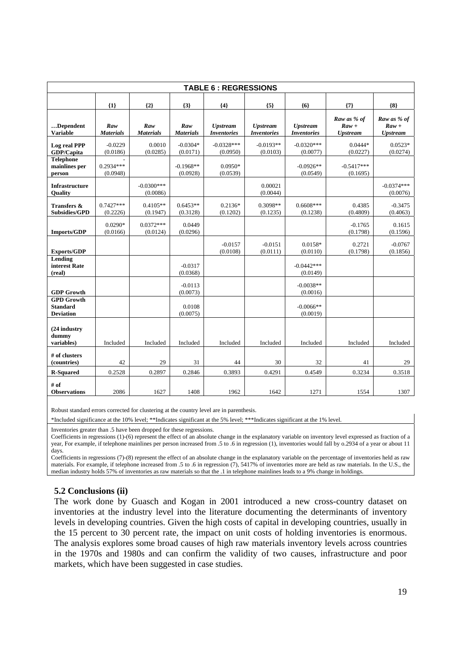|                                                          |                         |                          |                         | <b>TABLE 6: REGRESSIONS</b>           |                                       |                                       |                                                    |                                                                        |
|----------------------------------------------------------|-------------------------|--------------------------|-------------------------|---------------------------------------|---------------------------------------|---------------------------------------|----------------------------------------------------|------------------------------------------------------------------------|
|                                                          | ${1}$                   | ${2}$                    | ${3}$                   | ${4}$                                 | ${5}$                                 | ${6}$                                 | ${7}$                                              | ${8}$                                                                  |
| Dependent<br><b>Variable</b>                             | Raw<br><b>Materials</b> | Raw<br><b>Materials</b>  | Raw<br><b>Materials</b> | <b>Upstream</b><br><b>Inventories</b> | <b>Upstream</b><br><b>Inventories</b> | <b>Upstream</b><br><b>Inventories</b> | Raw as % of<br>$\mathbf{R}aw +$<br><b>Upstream</b> | Raw as % of<br>$\mathbf{R} \mathbf{a} \mathbf{w} +$<br><b>Upstream</b> |
| Log real PPP<br>GDP/Capita                               | $-0.0229$<br>(0.0186)   | 0.0010<br>(0.0285)       | $-0.0304*$<br>(0.0171)  | $-0.0328***$<br>(0.0950)              | $-0.0193**$<br>(0.0103)               | $-0.0320***$<br>(0.0077)              | $0.0444*$<br>(0.0227)                              | $0.0523*$<br>(0.0274)                                                  |
| <b>Telephone</b><br>mainlines per<br>person              | $0.2934***$<br>(0.0948) |                          | $-0.1968**$<br>(0.0928) | $0.0950*$<br>(0.0539)                 |                                       | $-0.0926**$<br>(0.0549)               | $-0.5417***$<br>(0.1695)                           |                                                                        |
| <b>Infrastructure</b><br>Quality                         |                         | $-0.0300***$<br>(0.0086) |                         |                                       | 0.00021<br>(0.0044)                   |                                       |                                                    | $-0.0374***$<br>(0.0076)                                               |
| Transfers &<br><b>Subsidies/GPD</b>                      | $0.7427***$<br>(0.2226) | $0.4105**$<br>(0.1947)   | $0.6453**$<br>(0.3128)  | $0.2136*$<br>(0.1202)                 | 0.3098**<br>(0.1235)                  | $0.6608***$<br>(0.1238)               | 0.4385<br>(0.4809)                                 | $-0.3475$<br>(0.4063)                                                  |
| <b>Imports/GDP</b>                                       | $0.0290*$<br>(0.0166)   | $0.0372***$<br>(0.0124)  | 0.0449<br>(0.0296)      |                                       |                                       |                                       | $-0.1765$<br>(0.1798)                              | 0.1615<br>(0.1596)                                                     |
| <b>Exports/GDP</b>                                       |                         |                          |                         | $-0.0157$<br>(0.0108)                 | $-0.0151$<br>(0.0111)                 | $0.0158*$<br>(0.0110)                 | 0.2721<br>(0.1798)                                 | $-0.0767$<br>(0.1856)                                                  |
| Lending<br>interest Rate<br>(real)                       |                         |                          | $-0.0317$<br>(0.0368)   |                                       |                                       | $-0.0442***$<br>(0.0149)              |                                                    |                                                                        |
| <b>GDP Growth</b>                                        |                         |                          | $-0.0113$<br>(0.0073)   |                                       |                                       | $-0.0038**$<br>(0.0016)               |                                                    |                                                                        |
| <b>GPD Growth</b><br><b>Standard</b><br><b>Deviation</b> |                         |                          | 0.0108<br>(0.0075)      |                                       |                                       | $-0.0066**$<br>(0.0019)               |                                                    |                                                                        |
| (24 industry<br>dummy<br>variables)                      | Included                | Included                 | Included                | Included                              | Included                              | Included                              | Included                                           | Included                                                               |
| # of clusters<br>(countries)                             | 42                      | 29                       | 31                      | 44                                    | 30                                    | 32                                    | 41                                                 | 29                                                                     |
| <b>R-Squared</b>                                         | 0.2528                  | 0.2897                   | 0.2846                  | 0.3893                                | 0.4291                                | 0.4549                                | 0.3234                                             | 0.3518                                                                 |
| # of<br><b>Observations</b>                              | 2086                    | 1627                     | 1408                    | 1962                                  | 1642                                  | 1271                                  | 1554                                               | 1307                                                                   |

Robust standard errors corrected for clustering at the country level are in parenthesis.

\*Included significance at the 10% level; \*\*Indicates significant at the 5% level; \*\*\*Indicates significant at the 1% level.

Inventories greater than .5 have been dropped for these regressions.

Coefficients in regressions (1)-(6) represent the effect of an absolute change in the explanatory variable on inventory level expressed as fraction of a year, For example, if telephone mainlines per person increased from .5 to .6 in regression (1), inventories would fall by o.2934 of a year or about 11 days.

Coefficients in regressions (7)-(8) represent the effect of an absolute change in the explanatory variable on the percentage of inventories held as raw materials. For example, if telephone increased from .5 to .6 in regression (7), 5417% of inventories more are held as raw materials. In the U.S., the median industry holds 57% of inventories as raw materials so that the .1 in telephone mainlines leads to a 9% change in holdings.

#### **5.2 Conclusions (ii)**

The work done by Guasch and Kogan in 2001 introduced a new cross-country dataset on inventories at the industry level into the literature documenting the determinants of inventory levels in developing countries. Given the high costs of capital in developing countries, usually in the 15 percent to 30 percent rate, the impact on unit costs of holding inventories is enormous. The analysis explores some broad causes of high raw materials inventory levels across countries in the 1970s and 1980s and can confirm the validity of two causes, infrastructure and poor markets, which have been suggested in case studies.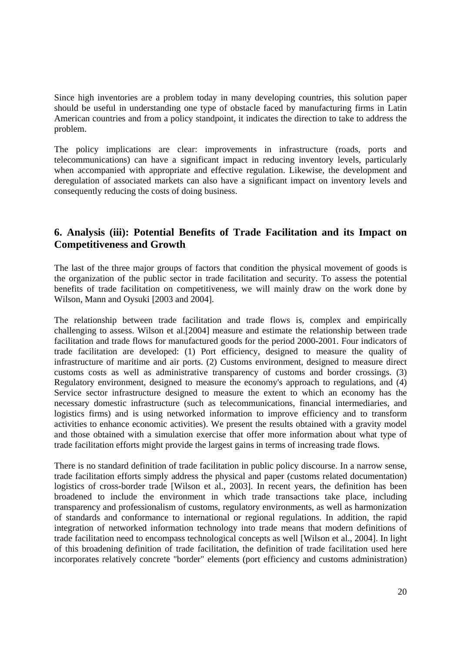Since high inventories are a problem today in many developing countries, this solution paper should be useful in understanding one type of obstacle faced by manufacturing firms in Latin American countries and from a policy standpoint, it indicates the direction to take to address the problem.

The policy implications are clear: improvements in infrastructure (roads, ports and telecommunications) can have a significant impact in reducing inventory levels, particularly when accompanied with appropriate and effective regulation. Likewise, the development and deregulation of associated markets can also have a significant impact on inventory levels and consequently reducing the costs of doing business.

# **6. Analysis (iii): Potential Benefits of Trade Facilitation and its Impact on Competitiveness and Growth**

The last of the three major groups of factors that condition the physical movement of goods is the organization of the public sector in trade facilitation and security. To assess the potential benefits of trade facilitation on competitiveness, we will mainly draw on the work done by Wilson, Mann and Oysuki [2003 and 2004].

The relationship between trade facilitation and trade flows is, complex and empirically challenging to assess. Wilson et al.[2004] measure and estimate the relationship between trade facilitation and trade flows for manufactured goods for the period 2000-2001. Four indicators of trade facilitation are developed: (1) Port efficiency, designed to measure the quality of infrastructure of maritime and air ports. (2) Customs environment, designed to measure direct customs costs as well as administrative transparency of customs and border crossings. (3) Regulatory environment, designed to measure the economy's approach to regulations, and (4) Service sector infrastructure designed to measure the extent to which an economy has the necessary domestic infrastructure (such as telecommunications, financial intermediaries, and logistics firms) and is using networked information to improve efficiency and to transform activities to enhance economic activities). We present the results obtained with a gravity model and those obtained with a simulation exercise that offer more information about what type of trade facilitation efforts might provide the largest gains in terms of increasing trade flows.

There is no standard definition of trade facilitation in public policy discourse. In a narrow sense, trade facilitation efforts simply address the physical and paper (customs related documentation) logistics of cross-border trade [Wilson et al., 2003]. In recent years, the definition has been broadened to include the environment in which trade transactions take place, including transparency and professionalism of customs, regulatory environments, as well as harmonization of standards and conformance to international or regional regulations. In addition, the rapid integration of networked information technology into trade means that modern definitions of trade facilitation need to encompass technological concepts as well [Wilson et al., 2004]. In light of this broadening definition of trade facilitation, the definition of trade facilitation used here incorporates relatively concrete "border" elements (port efficiency and customs administration)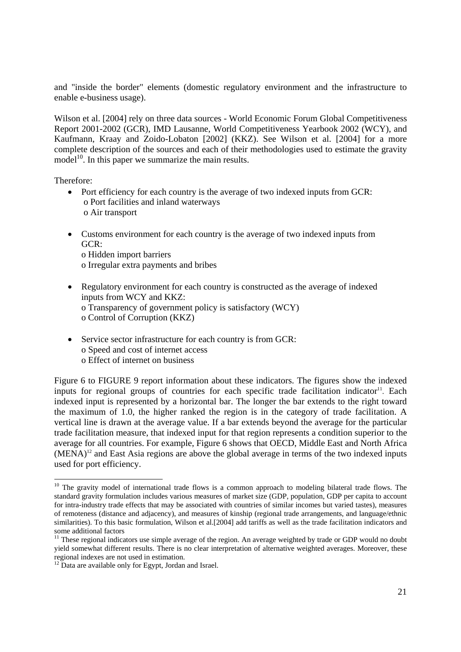and "inside the border" elements (domestic regulatory environment and the infrastructure to enable e-business usage).

Wilson et al. [2004] rely on three data sources - World Economic Forum Global Competitiveness Report 2001-2002 (GCR), IMD Lausanne, World Competitiveness Yearbook 2002 (WCY), and Kaufmann, Kraay and Zoido-Lobaton [2002] (KKZ). See Wilson et al. [2004] for a more complete description of the sources and each of their methodologies used to estimate the gravity model $1^{10}$ . In this paper we summarize the main results.

Therefore:

- Port efficiency for each country is the average of two indexed inputs from GCR: o Port facilities and inland waterways o Air transport
- Customs environment for each country is the average of two indexed inputs from GCR: o Hidden import barriers o Irregular extra payments and bribes
- Regulatory environment for each country is constructed as the average of indexed inputs from WCY and KKZ: o Transparency of government policy is satisfactory (WCY) o Control of Corruption (KKZ)
- Service sector infrastructure for each country is from GCR: o Speed and cost of internet access o Effect of internet on business

Figure 6 to FIGURE 9 report information about these indicators. The figures show the indexed inputs for regional groups of countries for each specific trade facilitation indicator<sup>11</sup>. Each indexed input is represented by a horizontal bar. The longer the bar extends to the right toward the maximum of 1.0, the higher ranked the region is in the category of trade facilitation. A vertical line is drawn at the average value. If a bar extends beyond the average for the particular trade facilitation measure, that indexed input for that region represents a condition superior to the average for all countries. For example, Figure 6 shows that OECD, Middle East and North Africa  $(MENA)^{12}$  and East Asia regions are above the global average in terms of the two indexed inputs used for port efficiency.

<sup>-</sup><sup>10</sup> The gravity model of international trade flows is a common approach to modeling bilateral trade flows. The standard gravity formulation includes various measures of market size (GDP, population, GDP per capita to account for intra-industry trade effects that may be associated with countries of similar incomes but varied tastes), measures of remoteness (distance and adjacency), and measures of kinship (regional trade arrangements, and language/ethnic similarities). To this basic formulation, Wilson et al.[2004] add tariffs as well as the trade facilitation indicators and some additional factors

<sup>&</sup>lt;sup>11</sup> These regional indicators use simple average of the region. An average weighted by trade or GDP would no doubt yield somewhat different results. There is no clear interpretation of alternative weighted averages. Moreover, these regional indexes are not used in estimation.

 $12$  Data are available only for Egypt, Jordan and Israel.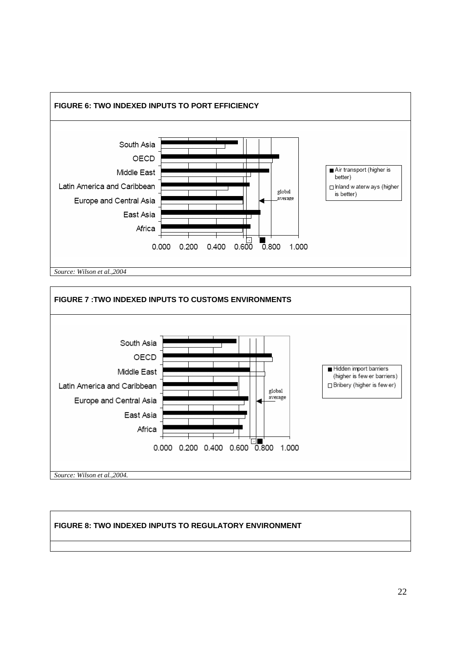



# **FIGURE 8: TWO INDEXED INPUTS TO REGULATORY ENVIRONMENT**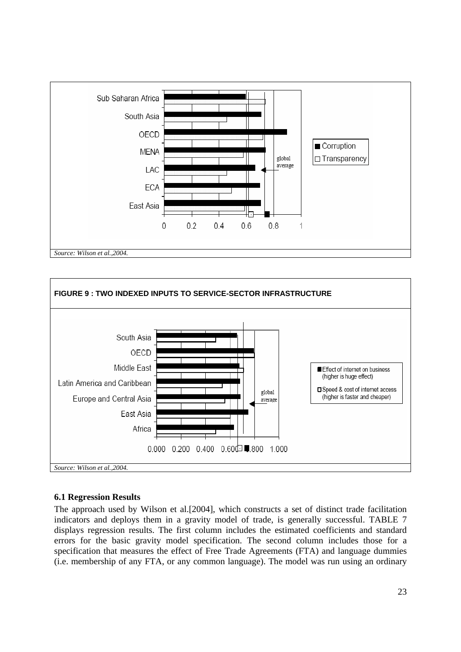



# **6.1 Regression Results**

The approach used by Wilson et al.[2004], which constructs a set of distinct trade facilitation indicators and deploys them in a gravity model of trade, is generally successful. TABLE 7 displays regression results. The first column includes the estimated coefficients and standard errors for the basic gravity model specification. The second column includes those for a specification that measures the effect of Free Trade Agreements (FTA) and language dummies (i.e. membership of any FTA, or any common language). The model was run using an ordinary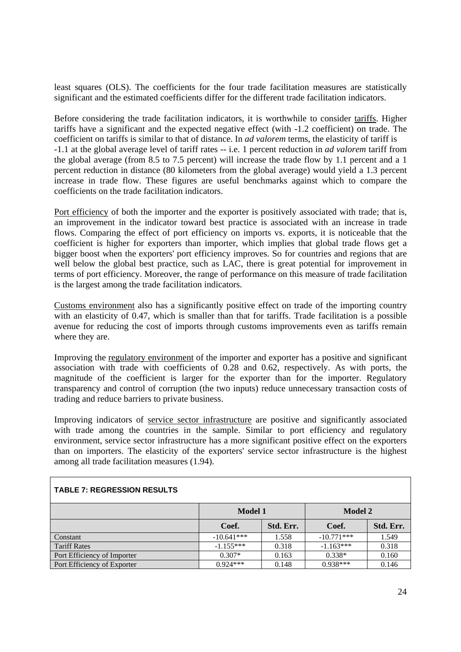least squares (OLS). The coefficients for the four trade facilitation measures are statistically significant and the estimated coefficients differ for the different trade facilitation indicators.

Before considering the trade facilitation indicators, it is worthwhile to consider tariffs. Higher tariffs have a significant and the expected negative effect (with -1.2 coefficient) on trade. The coefficient on tariffs is similar to that of distance. In *ad valorem* terms, the elasticity of tariff is -1.1 at the global average level of tariff rates -- i.e. 1 percent reduction in *ad valorem* tariff from the global average (from 8.5 to 7.5 percent) will increase the trade flow by 1.1 percent and a 1 percent reduction in distance (80 kilometers from the global average) would yield a 1.3 percent increase in trade flow. These figures are useful benchmarks against which to compare the coefficients on the trade facilitation indicators.

Port efficiency of both the importer and the exporter is positively associated with trade; that is, an improvement in the indicator toward best practice is associated with an increase in trade flows. Comparing the effect of port efficiency on imports vs. exports, it is noticeable that the coefficient is higher for exporters than importer, which implies that global trade flows get a bigger boost when the exporters' port efficiency improves. So for countries and regions that are well below the global best practice, such as LAC, there is great potential for improvement in terms of port efficiency. Moreover, the range of performance on this measure of trade facilitation is the largest among the trade facilitation indicators.

Customs environment also has a significantly positive effect on trade of the importing country with an elasticity of 0.47, which is smaller than that for tariffs. Trade facilitation is a possible avenue for reducing the cost of imports through customs improvements even as tariffs remain where they are.

Improving the regulatory environment of the importer and exporter has a positive and significant association with trade with coefficients of 0.28 and 0.62, respectively. As with ports, the magnitude of the coefficient is larger for the exporter than for the importer. Regulatory transparency and control of corruption (the two inputs) reduce unnecessary transaction costs of trading and reduce barriers to private business.

Improving indicators of service sector infrastructure are positive and significantly associated with trade among the countries in the sample. Similar to port efficiency and regulatory environment, service sector infrastructure has a more significant positive effect on the exporters than on importers. The elasticity of the exporters' service sector infrastructure is the highest among all trade facilitation measures (1.94).

| IADLL I. INLUNLUUIUN INLUULTU |              |           |                |           |
|-------------------------------|--------------|-----------|----------------|-----------|
|                               | Model 1      |           | <b>Model 2</b> |           |
|                               | Coef.        | Std. Err. | Coef.          | Std. Err. |
| Constant                      | $-10.641***$ | 1.558     | $-10.771***$   | 1.549     |
| Tariff Rates                  | $-1.155***$  | 0.318     | $-1.163***$    | 0.318     |
| Port Efficiency of Importer   | $0.307*$     | 0.163     | $0.338*$       | 0.160     |
| Port Efficiency of Exporter   | $0.924***$   | 0.148     | $0.938***$     | 0.146     |

## **TABLE 7: REGRESSION RESULTS**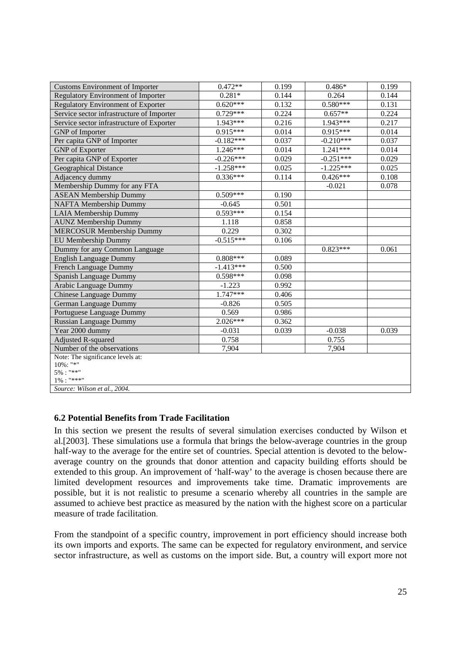| <b>Customs Environment of Importer</b>    | $0.472**$   | 0.199 | $0.486*$    | 0.199 |
|-------------------------------------------|-------------|-------|-------------|-------|
| <b>Regulatory Environment of Importer</b> | $0.281*$    | 0.144 | 0.264       | 0.144 |
| <b>Regulatory Environment of Exporter</b> | $0.620***$  | 0.132 | $0.580***$  | 0.131 |
| Service sector infrastructure of Importer | $0.729***$  | 0.224 | $0.657**$   | 0.224 |
| Service sector infrastructure of Exporter | $1.943***$  | 0.216 | $1.943***$  | 0.217 |
| <b>GNP</b> of Importer                    | $0.915***$  | 0.014 | $0.915***$  | 0.014 |
| Per capita GNP of Importer                | $-0.182***$ | 0.037 | $-0.210***$ | 0.037 |
| <b>GNP</b> of Exporter                    | $1.246***$  | 0.014 | $1.241***$  | 0.014 |
| Per capita GNP of Exporter                | $-0.226***$ | 0.029 | $-0.251***$ | 0.029 |
| <b>Geographical Distance</b>              | $-1.258***$ | 0.025 | $-1.225***$ | 0.025 |
| Adjacency dummy                           | $0.336***$  | 0.114 | $0.426***$  | 0.108 |
| Membership Dummy for any FTA              |             |       | $-0.021$    | 0.078 |
| <b>ASEAN Membership Dummy</b>             | $0.509***$  | 0.190 |             |       |
| <b>NAFTA Membership Dummy</b>             | $-0.645$    | 0.501 |             |       |
| <b>LAIA Membership Dummy</b>              | $0.593***$  | 0.154 |             |       |
| <b>AUNZ Membership Dummy</b>              | 1.118       | 0.858 |             |       |
| <b>MERCOSUR Membership Dummy</b>          | 0.229       | 0.302 |             |       |
| EU Membership Dummy                       | $-0.515***$ | 0.106 |             |       |
| Dummy for any Common Language             |             |       | $0.823***$  | 0.061 |
| <b>English Language Dummy</b>             | $0.808***$  | 0.089 |             |       |
| French Language Dummy                     | $-1.413***$ | 0.500 |             |       |
| Spanish Language Dummy                    | $0.598***$  | 0.098 |             |       |
| Arabic Language Dummy                     | $-1.223$    | 0.992 |             |       |
| <b>Chinese Language Dummy</b>             | $1.747***$  | 0.406 |             |       |
| German Language Dummy                     | $-0.826$    | 0.505 |             |       |
| Portuguese Language Dummy                 | 0.569       | 0.986 |             |       |
| <b>Russian Language Dummy</b>             | $2.026***$  | 0.362 |             |       |
| Year 2000 dummy                           | $-0.031$    | 0.039 | $-0.038$    | 0.039 |
| <b>Adjusted R-squared</b>                 | 0.758       |       | 0.755       |       |
| Number of the observations                | 7,904       |       | 7,904       |       |
| Note: The significance levels at:         |             |       |             |       |
| $10\%$ : "*"                              |             |       |             |       |
| $5\%$ : "**"<br>$1\%$ : "***"             |             |       |             |       |
| Source: Wilson et al., 2004.              |             |       |             |       |
|                                           |             |       |             |       |

#### **6.2 Potential Benefits from Trade Facilitation**

In this section we present the results of several simulation exercises conducted by Wilson et al.[2003]. These simulations use a formula that brings the below-average countries in the group half-way to the average for the entire set of countries. Special attention is devoted to the belowaverage country on the grounds that donor attention and capacity building efforts should be extended to this group. An improvement of 'half-way' to the average is chosen because there are limited development resources and improvements take time. Dramatic improvements are possible, but it is not realistic to presume a scenario whereby all countries in the sample are assumed to achieve best practice as measured by the nation with the highest score on a particular measure of trade facilitation.

From the standpoint of a specific country, improvement in port efficiency should increase both its own imports and exports. The same can be expected for regulatory environment, and service sector infrastructure, as well as customs on the import side. But, a country will export more not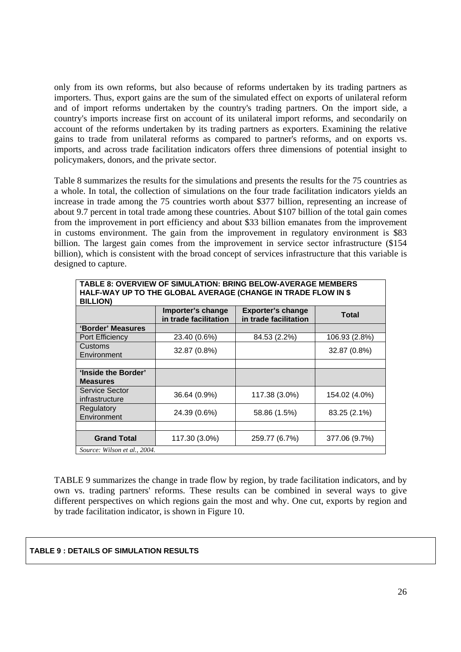only from its own reforms, but also because of reforms undertaken by its trading partners as importers. Thus, export gains are the sum of the simulated effect on exports of unilateral reform and of import reforms undertaken by the country's trading partners. On the import side, a country's imports increase first on account of its unilateral import reforms, and secondarily on account of the reforms undertaken by its trading partners as exporters. Examining the relative gains to trade from unilateral reforms as compared to partner's reforms, and on exports vs. imports, and across trade facilitation indicators offers three dimensions of potential insight to policymakers, donors, and the private sector.

Table 8 summarizes the results for the simulations and presents the results for the 75 countries as a whole. In total, the collection of simulations on the four trade facilitation indicators yields an increase in trade among the 75 countries worth about \$377 billion, representing an increase of about 9.7 percent in total trade among these countries. About \$107 billion of the total gain comes from the improvement in port efficiency and about \$33 billion emanates from the improvement in customs environment. The gain from the improvement in regulatory environment is \$83 billion. The largest gain comes from the improvement in service sector infrastructure (\$154 billion), which is consistent with the broad concept of services infrastructure that this variable is designed to capture.

| TABLE 8: OVERVIEW OF SIMULATION: BRING BELOW-AVERAGE MEMBERS<br>HALF-WAY UP TO THE GLOBAL AVERAGE (CHANGE IN TRADE FLOW IN \$<br><b>BILLION)</b> |                                            |                                                   |               |  |  |  |
|--------------------------------------------------------------------------------------------------------------------------------------------------|--------------------------------------------|---------------------------------------------------|---------------|--|--|--|
|                                                                                                                                                  | Importer's change<br>in trade facilitation | <b>Exporter's change</b><br>in trade facilitation | <b>Total</b>  |  |  |  |
| 'Border' Measures                                                                                                                                |                                            |                                                   |               |  |  |  |
| Port Efficiency                                                                                                                                  | 23.40 (0.6%)                               | 84.53 (2.2%)                                      | 106.93 (2.8%) |  |  |  |
| Customs<br>Environment                                                                                                                           | 32.87 (0.8%)                               |                                                   | 32.87 (0.8%)  |  |  |  |
|                                                                                                                                                  |                                            |                                                   |               |  |  |  |
| 'Inside the Border'<br><b>Measures</b>                                                                                                           |                                            |                                                   |               |  |  |  |
| Service Sector<br>infrastructure                                                                                                                 | 36.64 (0.9%)                               | 117.38 (3.0%)                                     | 154.02 (4.0%) |  |  |  |
| Regulatory<br>Environment                                                                                                                        | 24.39 (0.6%)                               | 58.86 (1.5%)                                      | 83.25 (2.1%)  |  |  |  |
|                                                                                                                                                  |                                            |                                                   |               |  |  |  |
| <b>Grand Total</b>                                                                                                                               | 117.30 (3.0%)                              | 259.77 (6.7%)                                     | 377.06 (9.7%) |  |  |  |
| Source: Wilson et al., 2004.                                                                                                                     |                                            |                                                   |               |  |  |  |

TABLE 9 summarizes the change in trade flow by region, by trade facilitation indicators, and by own vs. trading partners' reforms. These results can be combined in several ways to give different perspectives on which regions gain the most and why. One cut, exports by region and by trade facilitation indicator, is shown in Figure 10.

#### **TABLE 9 : DETAILS OF SIMULATION RESULTS**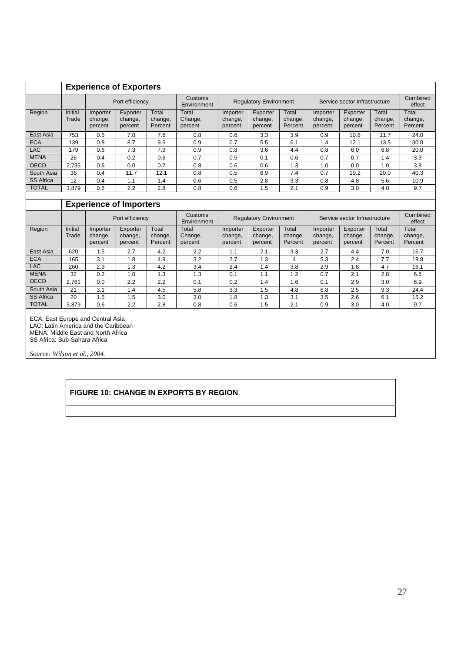|                                   | <b>Experience of Exporters</b> |                                |                                |                             |                             |                                |                                                                |                               |                                |                                |                             |                             |
|-----------------------------------|--------------------------------|--------------------------------|--------------------------------|-----------------------------|-----------------------------|--------------------------------|----------------------------------------------------------------|-------------------------------|--------------------------------|--------------------------------|-----------------------------|-----------------------------|
|                                   |                                |                                | Port efficiency                |                             | Customs<br>Environment      | <b>Requlatory Environment</b>  |                                                                | Service sector Infrastructure |                                |                                | Combined<br>effect          |                             |
| Region                            | Initial<br>Trade               | Importer<br>change,<br>percent | Exporter<br>change,<br>percent | Total<br>change,<br>Percent | Total<br>Change,<br>percent | Importer<br>change,<br>percent | Exporter<br>change,<br>percent                                 | Total<br>change,<br>Percent   | Importer<br>change,<br>percent | Exporter<br>change,<br>percent | Total<br>change,<br>Percent | Total<br>change,<br>Percent |
| East Asia                         | 753                            | 0.5                            | 7.0                            | 7.6                         | 0.8                         | 0.6                            | 3.3                                                            | 3.9                           | 0.9                            | 10.8                           | 11.7                        | 24.0                        |
| <b>ECA</b>                        | 139                            | 0.8                            | 8.7                            | 9.5                         | 0.9                         | 0.7                            | 5.5                                                            | 6.1                           | 1.4                            | 12.1                           | 13.5                        | 30.0                        |
| <b>LAC</b>                        | 179                            | 0.6                            | 7.3                            | 7.9                         | 0.9                         | 0.8                            | 3.6                                                            | 4.4                           | 0.8                            | 6.0                            | 6.8                         | 20.0                        |
| <b>MENA</b>                       | 26                             | 0.4                            | 0.2                            | 0.6                         | 0.7                         | 0.5                            | 0.1                                                            | 0.6                           | 0.7                            | 0.7                            | 1.4                         | 3.3                         |
| <b>OECD</b>                       | 2,735                          | 0.6                            | 0.0                            | 0.7                         | 0.8                         | 0.6                            | 0.6                                                            | 1.3                           | 1.0                            | 0.0                            | 1.0                         | 3.8                         |
| South Asia                        | 36                             | 0.4                            | 11.7                           | 12.1                        | 0.8                         | 0.5                            | 6.9                                                            | 7.4                           | 0.7                            | 19.2                           | 20.0                        | 40.3                        |
| <b>SS Africa</b>                  | 12                             | 0.4                            | 1.1                            | 1.4                         | 0.6                         | 0.5                            | 2.8                                                            | 3.3                           | 0.8                            | 4.8                            | 5.6                         | 10.9                        |
| <b>TOTAL</b>                      | 3,879                          | 0.6                            | 2.2                            | 2.8                         | 0.8                         | 0.6                            | 1.5                                                            | 2.1                           | 0.9                            | 3.0                            | 4.0                         | 9.7                         |
|                                   |                                |                                |                                |                             |                             |                                |                                                                |                               |                                |                                |                             |                             |
|                                   |                                |                                | <b>Experience of Importers</b> |                             |                             |                                |                                                                |                               |                                |                                |                             |                             |
|                                   |                                |                                | Port efficiency                |                             | Customs<br>Environment      |                                | <b>Regulatory Environment</b><br>Service sector Infrastructure |                               |                                |                                | Combined<br>effect          |                             |
| Region                            | Initial                        | Importer                       | Exporter                       | Total                       | Total                       | Importer                       | Exporter                                                       | Total                         | Importer                       | Exporter                       | Total                       | Total                       |
|                                   | Trade                          | change,<br>percent             | change,<br>percent             | change,<br>Percent          | Change,<br>percent          | change,<br>percent             | change,<br>percent                                             | change,<br>Percent            | change,<br>percent             | change,<br>percent             | change,<br>Percent          | change,<br>Percent          |
| East Asia                         | 620                            | 1.5                            | 2.7                            | 4.2                         | 2.2                         | 1.1                            | 2.1                                                            | 3.3                           | 2.7                            | 4.4                            | 7.0                         | 16.7                        |
| <b>ECA</b>                        | 165                            | 3.1                            | 1.8                            | 4.9                         | 3.2                         | 2.7                            | 1.3                                                            | 4                             | 5.3                            | 2.4                            | 7.7                         | 19.8                        |
| <b>LAC</b>                        | 260                            | 2.9                            | 1.3                            | 4.2                         | 3.4                         | 2.4                            | 1.4                                                            | 3.8                           | 2.9                            | 1.8                            | 4.7                         | 16.1                        |
| <b>MENA</b>                       | 32                             | 0.2                            | 1.0                            | 1.3                         | 1.3                         | 0.1                            | 1.1                                                            | 1.2                           | 0.7                            | 2.1                            | 2.8                         | 6.6                         |
| <b>OECD</b>                       | 2,761                          | 0.0                            | 2.2                            | 2.2                         | 0.1                         | 0.2                            | 1.4                                                            | 1.6                           | 0.1                            | 2.9                            | 3.0                         | 6.9                         |
| South Asia                        | 21                             | 3.1                            | 1.4                            | 4.5                         | 5.8                         | 3.3                            | 1.5                                                            | 4.8                           | 6.8                            | 2.5                            | 9.3                         | 24.4                        |
| <b>SS Africa</b>                  | 20                             | 1.5                            | 1.5                            | 3.0                         | 3.0                         | 1.8                            | 1.3                                                            | 3.1                           | 3.5                            | 2.6                            | 6.1                         | 15.2                        |
| <b>TOTAL</b>                      | 3,879                          | 0.6                            | 2.2                            | 2.8                         | 0.8                         | 0.6                            | 1.5                                                            | 2.1                           | 0.9                            | 3.0                            | 4.0                         | 9.7                         |
| FCA: East Europe and Central Asia |                                |                                |                                |                             |                             |                                |                                                                |                               |                                |                                |                             |                             |

ECA: East Europe and Central Asia LAC: Latin America and the Caribbean MENA: Middle East and North Africa SS Africa: Sub-Sahara Africa

*Source: Wilson et al., 2004.* 

#### **FIGURE 10: CHANGE IN EXPORTS BY REGION**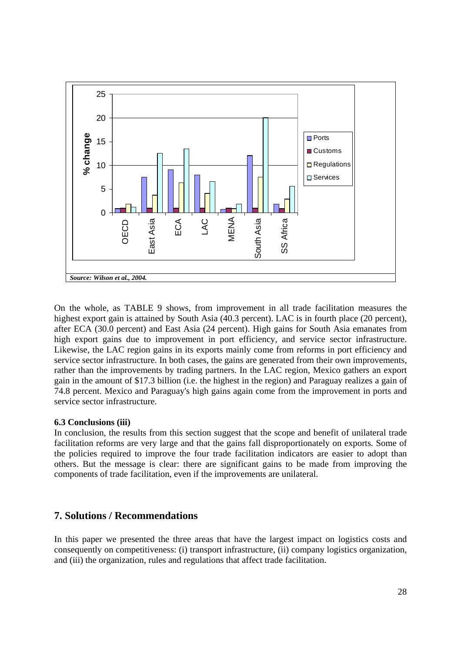

On the whole, as TABLE 9 shows, from improvement in all trade facilitation measures the highest export gain is attained by South Asia (40.3 percent). LAC is in fourth place (20 percent), after ECA (30.0 percent) and East Asia (24 percent). High gains for South Asia emanates from high export gains due to improvement in port efficiency, and service sector infrastructure. Likewise, the LAC region gains in its exports mainly come from reforms in port efficiency and service sector infrastructure. In both cases, the gains are generated from their own improvements, rather than the improvements by trading partners. In the LAC region, Mexico gathers an export gain in the amount of \$17.3 billion (i.e. the highest in the region) and Paraguay realizes a gain of 74.8 percent. Mexico and Paraguay's high gains again come from the improvement in ports and service sector infrastructure.

#### **6.3 Conclusions (iii)**

In conclusion, the results from this section suggest that the scope and benefit of unilateral trade facilitation reforms are very large and that the gains fall disproportionately on exports. Some of the policies required to improve the four trade facilitation indicators are easier to adopt than others. But the message is clear: there are significant gains to be made from improving the components of trade facilitation, even if the improvements are unilateral.

# **7. Solutions / Recommendations**

In this paper we presented the three areas that have the largest impact on logistics costs and consequently on competitiveness: (i) transport infrastructure, (ii) company logistics organization, and (iii) the organization, rules and regulations that affect trade facilitation.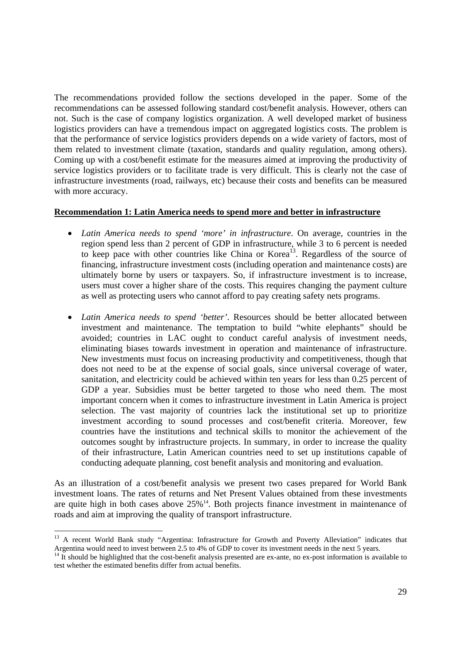The recommendations provided follow the sections developed in the paper. Some of the recommendations can be assessed following standard cost/benefit analysis. However, others can not. Such is the case of company logistics organization. A well developed market of business logistics providers can have a tremendous impact on aggregated logistics costs. The problem is that the performance of service logistics providers depends on a wide variety of factors, most of them related to investment climate (taxation, standards and quality regulation, among others). Coming up with a cost/benefit estimate for the measures aimed at improving the productivity of service logistics providers or to facilitate trade is very difficult. This is clearly not the case of infrastructure investments (road, railways, etc) because their costs and benefits can be measured with more accuracy.

#### **Recommendation 1: Latin America needs to spend more and better in infrastructure**

- *Latin America needs to spend 'more' in infrastructure*. On average, countries in the region spend less than 2 percent of GDP in infrastructure, while 3 to 6 percent is needed to keep pace with other countries like China or Korea<sup>13</sup>. Regardless of the source of financing, infrastructure investment costs (including operation and maintenance costs) are ultimately borne by users or taxpayers. So, if infrastructure investment is to increase, users must cover a higher share of the costs. This requires changing the payment culture as well as protecting users who cannot afford to pay creating safety nets programs.
- *Latin America needs to spend 'better'*. Resources should be better allocated between investment and maintenance. The temptation to build "white elephants" should be avoided; countries in LAC ought to conduct careful analysis of investment needs, eliminating biases towards investment in operation and maintenance of infrastructure. New investments must focus on increasing productivity and competitiveness, though that does not need to be at the expense of social goals, since universal coverage of water, sanitation, and electricity could be achieved within ten years for less than 0.25 percent of GDP a year. Subsidies must be better targeted to those who need them. The most important concern when it comes to infrastructure investment in Latin America is project selection. The vast majority of countries lack the institutional set up to prioritize investment according to sound processes and cost/benefit criteria. Moreover, few countries have the institutions and technical skills to monitor the achievement of the outcomes sought by infrastructure projects. In summary, in order to increase the quality of their infrastructure, Latin American countries need to set up institutions capable of conducting adequate planning, cost benefit analysis and monitoring and evaluation.

As an illustration of a cost/benefit analysis we present two cases prepared for World Bank investment loans. The rates of returns and Net Present Values obtained from these investments are quite high in both cases above  $25\%$ <sup>14</sup>. Both projects finance investment in maintenance of roads and aim at improving the quality of transport infrastructure.

-

<sup>&</sup>lt;sup>13</sup> A recent World Bank study "Argentina: Infrastructure for Growth and Poverty Alleviation" indicates that Argentina would need to invest between 2.5 to 4% of GDP to cover its investment needs in the next 5 years.

 $14$  It should be highlighted that the cost-benefit analysis presented are ex-ante, no ex-post information is available to test whether the estimated benefits differ from actual benefits.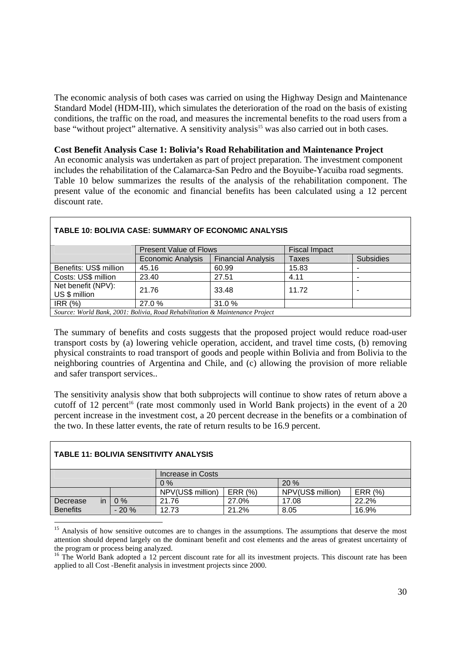The economic analysis of both cases was carried on using the Highway Design and Maintenance Standard Model (HDM-III), which simulates the deterioration of the road on the basis of existing conditions, the traffic on the road, and measures the incremental benefits to the road users from a base "without project" alternative. A sensitivity analysis<sup>15</sup> was also carried out in both cases.

**Cost Benefit Analysis Case 1: Bolivia's Road Rehabilitation and Maintenance Project** 

An economic analysis was undertaken as part of project preparation. The investment component includes the rehabilitation of the Calamarca-San Pedro and the Boyuibe-Yacuiba road segments. Table 10 below summarizes the results of the analysis of the rehabilitation component. The present value of the economic and financial benefits has been calculated using a 12 percent discount rate.

| <b>TABLE 10: BOLIVIA CASE: SUMMARY OF ECONOMIC ANALYSIS</b>                  |                               |                           |                      |                  |  |  |  |
|------------------------------------------------------------------------------|-------------------------------|---------------------------|----------------------|------------------|--|--|--|
|                                                                              | <b>Present Value of Flows</b> |                           | <b>Fiscal Impact</b> |                  |  |  |  |
|                                                                              | <b>Economic Analysis</b>      | <b>Financial Analysis</b> | Taxes                | <b>Subsidies</b> |  |  |  |
| Benefits: US\$ million                                                       | 45.16                         | 60.99                     | 15.83                |                  |  |  |  |
| Costs: US\$ million                                                          | 23.40                         | 27.51                     | 4.11                 |                  |  |  |  |
| Net benefit (NPV):<br>US \$ million                                          | 21.76                         | 33.48                     | 11.72                |                  |  |  |  |
| IRR(%)                                                                       | 27.0%                         | 31.0%                     |                      |                  |  |  |  |
| Source: World Bank, 2001: Bolivia, Road Rehabilitation & Maintenance Project |                               |                           |                      |                  |  |  |  |

The summary of benefits and costs suggests that the proposed project would reduce road-user transport costs by (a) lowering vehicle operation, accident, and travel time costs, (b) removing physical constraints to road transport of goods and people within Bolivia and from Bolivia to the neighboring countries of Argentina and Chile, and (c) allowing the provision of more reliable and safer transport services..

The sensitivity analysis show that both subprojects will continue to show rates of return above a cutoff of 12 percent<sup>16</sup> (rate most commonly used in World Bank projects) in the event of a 20 percent increase in the investment cost, a 20 percent decrease in the benefits or a combination of the two. In these latter events, the rate of return results to be 16.9 percent.

| <b>TABLE 11: BOLIVIA SENSITIVITY ANALYSIS</b> |    |        |                   |         |                   |         |  |
|-----------------------------------------------|----|--------|-------------------|---------|-------------------|---------|--|
|                                               |    |        | Increase in Costs |         |                   |         |  |
|                                               |    |        | 20%<br>0%         |         |                   |         |  |
|                                               |    |        | NPV(US\$ million) | ERR (%) | NPV(US\$ million) | ERR (%) |  |
| Decrease                                      | in | $0\%$  | 21.76             | 27.0%   | 17.08             | 22.2%   |  |
| <b>Benefits</b>                               |    | $-20%$ | 12.73             | 21.2%   | 8.05              | 16.9%   |  |

<sup>-</sup><sup>15</sup> Analysis of how sensitive outcomes are to changes in the assumptions. The assumptions that deserve the most attention should depend largely on the dominant benefit and cost elements and the areas of greatest uncertainty of the program or process being analyzed.

<sup>&</sup>lt;sup>16</sup> The World Bank adopted a 12 percent discount rate for all its investment projects. This discount rate has been applied to all Cost -Benefit analysis in investment projects since 2000.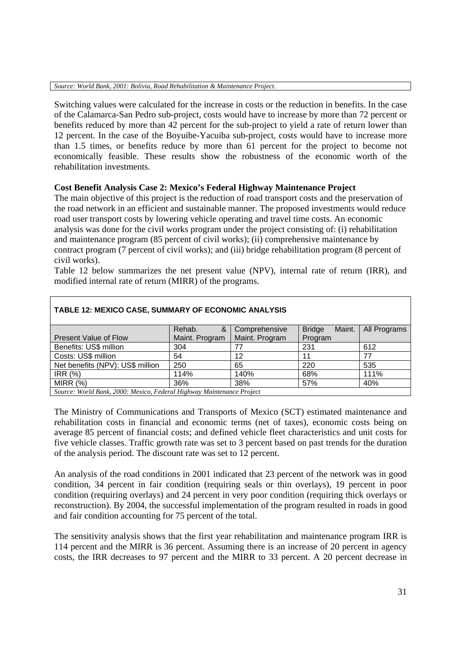Switching values were calculated for the increase in costs or the reduction in benefits. In the case of the Calamarca-San Pedro sub-project, costs would have to increase by more than 72 percent or benefits reduced by more than 42 percent for the sub-project to yield a rate of return lower than 12 percent. In the case of the Boyuibe-Yacuiba sub-project, costs would have to increase more than 1.5 times, or benefits reduce by more than 61 percent for the project to become not economically feasible. These results show the robustness of the economic worth of the rehabilitation investments.

## **Cost Benefit Analysis Case 2: Mexico's Federal Highway Maintenance Project**

The main objective of this project is the reduction of road transport costs and the preservation of the road network in an efficient and sustainable manner. The proposed investments would reduce road user transport costs by lowering vehicle operating and travel time costs. An economic analysis was done for the civil works program under the project consisting of: (i) rehabilitation and maintenance program (85 percent of civil works); (ii) comprehensive maintenance by contract program (7 percent of civil works); and (iii) bridge rehabilitation program (8 percent of civil works).

Table 12 below summarizes the net present value (NPV), internal rate of return (IRR), and modified internal rate of return (MIRR) of the programs.

| TABLE 12: MEXICO CASE, SUMMARY OF ECONOMIC ANALYSIS                   |                |                |                         |              |  |  |  |
|-----------------------------------------------------------------------|----------------|----------------|-------------------------|--------------|--|--|--|
|                                                                       | Rehab.<br>&    | Comprehensive  | <b>Bridge</b><br>Maint. | All Programs |  |  |  |
| <b>Present Value of Flow</b>                                          | Maint. Program | Maint. Program | Program                 |              |  |  |  |
| Benefits: US\$ million                                                | 304            |                | 231                     | 612          |  |  |  |
| Costs: US\$ million                                                   | 54             | 12             | 11                      | 77           |  |  |  |
| Net benefits (NPV): US\$ million                                      | 250            | 65             | 220                     | 535          |  |  |  |
| <b>IRR (%)</b>                                                        | 114%           | 140%           | 68%                     | 111%         |  |  |  |
| MIRR $(%)$                                                            | 36%            | 38%            | 57%                     | 40%          |  |  |  |
| Source: World Rank, 2000: Mexico, Federal Highway Maintenance Project |                |                |                         |              |  |  |  |

*Source: World Bank, 2000: Mexico, Federal Highway Maintenance Project*

The Ministry of Communications and Transports of Mexico (SCT) estimated maintenance and rehabilitation costs in financial and economic terms (net of taxes), economic costs being on average 85 percent of financial costs; and defined vehicle fleet characteristics and unit costs for five vehicle classes. Traffic growth rate was set to 3 percent based on past trends for the duration of the analysis period. The discount rate was set to 12 percent.

An analysis of the road conditions in 2001 indicated that 23 percent of the network was in good condition, 34 percent in fair condition (requiring seals or thin overlays), 19 percent in poor condition (requiring overlays) and 24 percent in very poor condition (requiring thick overlays or reconstruction). By 2004, the successful implementation of the program resulted in roads in good and fair condition accounting for 75 percent of the total.

The sensitivity analysis shows that the first year rehabilitation and maintenance program IRR is 114 percent and the MIRR is 36 percent. Assuming there is an increase of 20 percent in agency costs, the IRR decreases to 97 percent and the MIRR to 33 percent. A 20 percent decrease in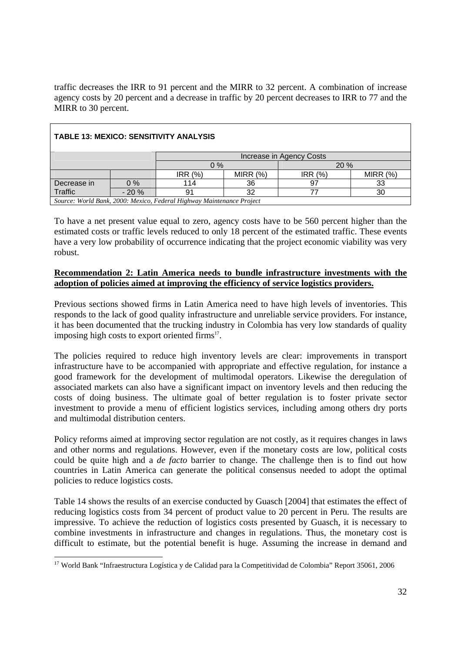traffic decreases the IRR to 91 percent and the MIRR to 32 percent. A combination of increase agency costs by 20 percent and a decrease in traffic by 20 percent decreases to IRR to 77 and the MIRR to 30 percent.

| <b>TABLE 13: MEXICO: SENSITIVITY ANALYSIS</b>                         |        |              |            |        |            |  |
|-----------------------------------------------------------------------|--------|--------------|------------|--------|------------|--|
| Increase in Agency Costs                                              |        |              |            |        |            |  |
|                                                                       |        | $0\%$<br>20% |            |        |            |  |
|                                                                       |        | IRR(%)       | MIRR $(%)$ | IRR(%) | MIRR $(%)$ |  |
| Decrease in                                                           | $0\%$  | 114          | 36         | 97     | 33         |  |
| Traffic                                                               | $-20%$ | 91           | 32         |        | 30         |  |
| Source: World Bank, 2000: Mexico, Federal Highway Maintenance Project |        |              |            |        |            |  |

To have a net present value equal to zero, agency costs have to be 560 percent higher than the estimated costs or traffic levels reduced to only 18 percent of the estimated traffic. These events have a very low probability of occurrence indicating that the project economic viability was very robust.

### **Recommendation 2: Latin America needs to bundle infrastructure investments with the adoption of policies aimed at improving the efficiency of service logistics providers.**

Previous sections showed firms in Latin America need to have high levels of inventories. This responds to the lack of good quality infrastructure and unreliable service providers. For instance, it has been documented that the trucking industry in Colombia has very low standards of quality imposing high costs to export oriented firms<sup>17</sup>.

The policies required to reduce high inventory levels are clear: improvements in transport infrastructure have to be accompanied with appropriate and effective regulation, for instance a good framework for the development of multimodal operators. Likewise the deregulation of associated markets can also have a significant impact on inventory levels and then reducing the costs of doing business. The ultimate goal of better regulation is to foster private sector investment to provide a menu of efficient logistics services, including among others dry ports and multimodal distribution centers.

Policy reforms aimed at improving sector regulation are not costly, as it requires changes in laws and other norms and regulations. However, even if the monetary costs are low, political costs could be quite high and a *de facto* barrier to change. The challenge then is to find out how countries in Latin America can generate the political consensus needed to adopt the optimal policies to reduce logistics costs.

Table 14 shows the results of an exercise conducted by Guasch [2004] that estimates the effect of reducing logistics costs from 34 percent of product value to 20 percent in Peru. The results are impressive. To achieve the reduction of logistics costs presented by Guasch, it is necessary to combine investments in infrastructure and changes in regulations. Thus, the monetary cost is difficult to estimate, but the potential benefit is huge. Assuming the increase in demand and

<sup>1</sup> <sup>17</sup> World Bank "Infraestructura Logística y de Calidad para la Competitividad de Colombia" Report 35061, 2006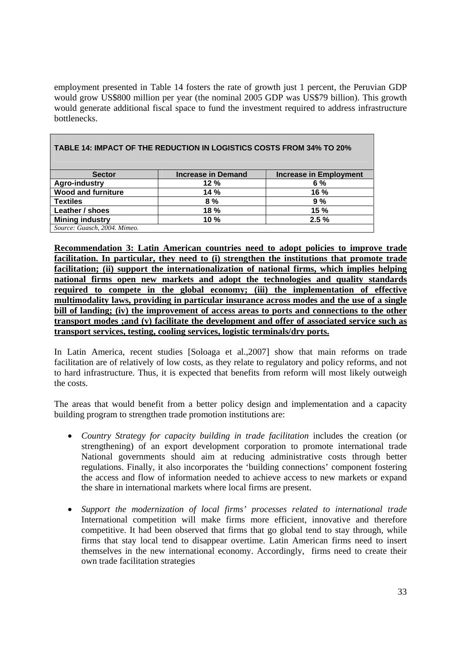employment presented in Table 14 fosters the rate of growth just 1 percent, the Peruvian GDP would grow US\$800 million per year (the nominal 2005 GDP was US\$79 billion). This growth would generate additional fiscal space to fund the investment required to address infrastructure bottlenecks.

| <b>Sector</b>                | <b>Increase in Demand</b> | <b>Increase in Employment</b> |
|------------------------------|---------------------------|-------------------------------|
| <b>Agro-industry</b>         | 12%                       | 6 %                           |
| <b>Wood and furniture</b>    | 14%                       | $16 \%$                       |
| <b>Textiles</b>              | 8%                        | 9%                            |
| Leather / shoes              | 18%                       | 15%                           |
| <b>Mining industry</b>       | 10 %                      | 2.5%                          |
| Source: Guasch, 2004. Mimeo. |                           |                               |

**TABLE 14: IMPACT OF THE REDUCTION IN LOGISTICS COSTS FROM 34% TO 20%** 

**Recommendation 3: Latin American countries need to adopt policies to improve trade facilitation. In particular, they need to (i) strengthen the institutions that promote trade facilitation; (ii) support the internationalization of national firms, which implies helping national firms open new markets and adopt the technologies and quality standards required to compete in the global economy; (iii) the implementation of effective multimodality laws, providing in particular insurance across modes and the use of a single bill of landing; (iv) the improvement of access areas to ports and connections to the other transport modes ;and (v) facilitate the development and offer of associated service such as transport services, testing, cooling services, logistic terminals/dry ports.**

In Latin America, recent studies [Soloaga et al.,2007] show that main reforms on trade facilitation are of relatively of low costs, as they relate to regulatory and policy reforms, and not to hard infrastructure. Thus, it is expected that benefits from reform will most likely outweigh the costs.

The areas that would benefit from a better policy design and implementation and a capacity building program to strengthen trade promotion institutions are:

- *Country Strategy for capacity building in trade facilitation includes the creation (or* strengthening) of an export development corporation to promote international trade National governments should aim at reducing administrative costs through better regulations. Finally, it also incorporates the 'building connections' component fostering the access and flow of information needed to achieve access to new markets or expand the share in international markets where local firms are present.
- *Support the modernization of local firms' processes related to international trade*  International competition will make firms more efficient, innovative and therefore competitive. It had been observed that firms that go global tend to stay through, while firms that stay local tend to disappear overtime. Latin American firms need to insert themselves in the new international economy. Accordingly, firms need to create their own trade facilitation strategies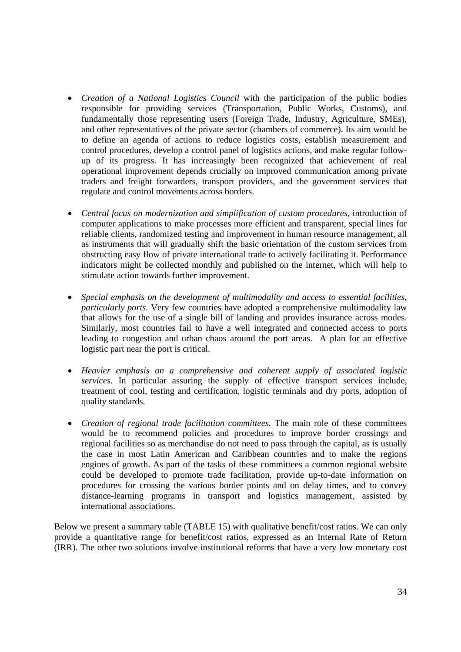- *Creation of a National Logistics Council* with the participation of the public bodies responsible for providing services (Transportation, Public Works, Customs), and fundamentally those representing users (Foreign Trade, Industry, Agriculture, SMEs), and other representatives of the private sector (chambers of commerce). Its aim would be to define an agenda of actions to reduce logistics costs, establish measurement and control procedures, develop a control panel of logistics actions, and make regular followup of its progress. It has increasingly been recognized that achievement of real operational improvement depends crucially on improved communication among private traders and freight forwarders, transport providers, and the government services that regulate and control movements across borders.
- *Central focus on modernization and simplification of custom procedures*, introduction of computer applications to make processes more efficient and transparent, special lines for reliable clients, randomized testing and improvement in human resource management, all as instruments that will gradually shift the basic orientation of the custom services from obstructing easy flow of private international trade to actively facilitating it. Performance indicators might be collected monthly and published on the internet, which will help to stimulate action towards further improvement.
- *Special emphasis on the development of multimodality and access to essential facilities, particularly ports.* Very few countries have adopted a comprehensive multimodality law that allows for the use of a single bill of landing and provides insurance across modes. Similarly, most countries fail to have a well integrated and connected access to ports leading to congestion and urban chaos around the port areas. A plan for an effective logistic part near the port is critical.
- *Heavier emphasis on a comprehensive and coherent supply of associated logistic services.* In particular assuring the supply of effective transport services include, treatment of cool, testing and certification, logistic terminals and dry ports, adoption of quality standards.
- *Creation of regional trade facilitation committees.* The main role of these committees would be to recommend policies and procedures to improve border crossings and regional facilities so as merchandise do not need to pass through the capital, as is usually the case in most Latin American and Caribbean countries and to make the regions engines of growth. As part of the tasks of these committees a common regional website could be developed to promote trade facilitation, provide up-to-date information on procedures for crossing the various border points and on delay times, and to convey distance-learning programs in transport and logistics management, assisted by international associations.

Below we present a summary table (TABLE 15) with qualitative benefit/cost ratios. We can only provide a quantitative range for benefit/cost ratios, expressed as an Internal Rate of Return (IRR). The other two solutions involve institutional reforms that have a very low monetary cost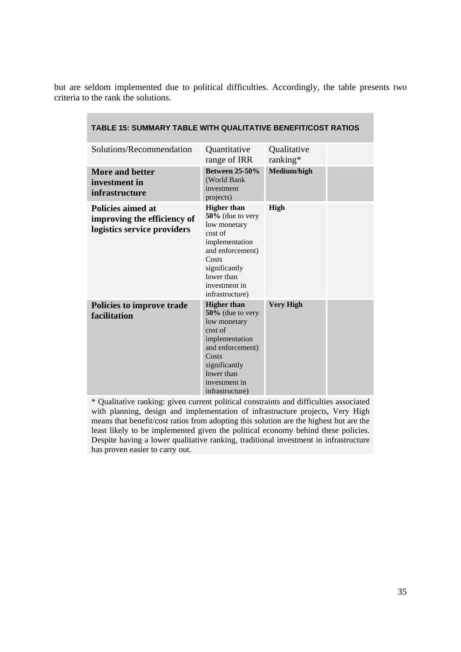but are seldom implemented due to political difficulties. Accordingly, the table presents two criteria to the rank the solutions.

| Solutions/Recommendation                                                        | Quantitative<br>range of IRR                                                                                                                                                           | Qualitative<br>ranking* |  |
|---------------------------------------------------------------------------------|----------------------------------------------------------------------------------------------------------------------------------------------------------------------------------------|-------------------------|--|
| More and better<br>investment in<br><i>infrastructure</i>                       | <b>Between 25-50%</b><br>(World Bank<br>investment<br>projects)                                                                                                                        | Medium/high             |  |
| Policies aimed at<br>improving the efficiency of<br>logistics service providers | <b>Higher than</b><br>$50\%$ (due to very<br>low monetary<br>cost of<br>implementation<br>and enforcement)<br>Costs<br>significantly<br>lower than<br>investment in<br>infrastructure) | High                    |  |
| Policies to improve trade<br>facilitation                                       | <b>Higher</b> than<br>50% (due to very<br>low monetary<br>cost of<br>implementation<br>and enforcement)<br>Costs<br>significantly<br>lower than<br>investment in<br>infrastructure)    | <b>Very High</b>        |  |

#### **TABLE 15: SUMMARY TABLE WITH QUALITATIVE BENEFIT/COST RATIOS**

\* Qualitative ranking: given current political constraints and difficulties associated with planning, design and implementation of infrastructure projects, Very High means that benefit/cost ratios from adopting this solution are the highest but are the least likely to be implemented given the political economy behind these policies. Despite having a lower qualitative ranking, traditional investment in infrastructure has proven easier to carry out.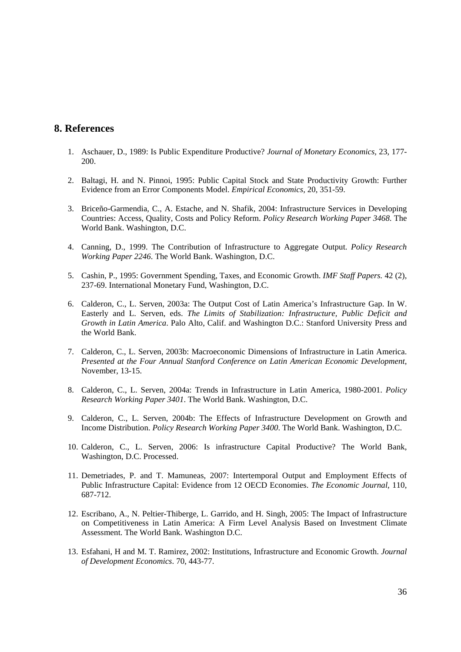## **8. References**

- 1. Aschauer, D., 1989: Is Public Expenditure Productive? *Journal of Monetary Economics,* 23, 177- 200.
- 2. Baltagi, H. and N. Pinnoi, 1995: Public Capital Stock and State Productivity Growth: Further Evidence from an Error Components Model. *Empirical Economics*, 20, 351-59.
- 3. Briceño-Garmendia, C., A. Estache, and N. Shafik, 2004: Infrastructure Services in Developing Countries: Access, Quality, Costs and Policy Reform. *Policy Research Working Paper 3468*. The World Bank. Washington, D.C.
- 4. Canning, D., 1999. The Contribution of Infrastructure to Aggregate Output. *Policy Research Working Paper 2246*. The World Bank. Washington, D.C.
- 5. Cashin, P., 1995: Government Spending, Taxes, and Economic Growth. *IMF Staff Papers.* 42 (2), 237-69. International Monetary Fund, Washington, D.C.
- 6. Calderon, C., L. Serven, 2003a: The Output Cost of Latin America's Infrastructure Gap. In W. Easterly and L. Serven, eds. *The Limits of Stabilization: Infrastructure, Public Deficit and Growth in Latin America*. Palo Alto, Calif. and Washington D.C.: Stanford University Press and the World Bank.
- 7. Calderon, C., L. Serven, 2003b: Macroeconomic Dimensions of Infrastructure in Latin America. *Presented at the Four Annual Stanford Conference on Latin American Economic Development*, November, 13-15.
- 8. Calderon, C., L. Serven, 2004a: Trends in Infrastructure in Latin America, 1980-2001. *Policy Research Working Paper 3401*. The World Bank. Washington, D.C.
- 9. Calderon, C., L. Serven, 2004b: The Effects of Infrastructure Development on Growth and Income Distribution. *Policy Research Working Paper 3400*. The World Bank. Washington, D.C.
- 10. Calderon, C., L. Serven, 2006: Is infrastructure Capital Productive? The World Bank, Washington, D.C. Processed.
- 11. Demetriades, P. and T. Mamuneas, 2007: Intertemporal Output and Employment Effects of Public Infrastructure Capital: Evidence from 12 OECD Economies. *The Economic Journal*, 110, 687-712.
- 12. Escribano, A., N. Peltier-Thiberge, L. Garrido, and H. Singh, 2005: The Impact of Infrastructure on Competitiveness in Latin America: A Firm Level Analysis Based on Investment Climate Assessment. The World Bank. Washington D.C.
- 13. Esfahani, H and M. T. Ramirez, 2002: Institutions, Infrastructure and Economic Growth. *Journal of Development Economics*. 70, 443-77.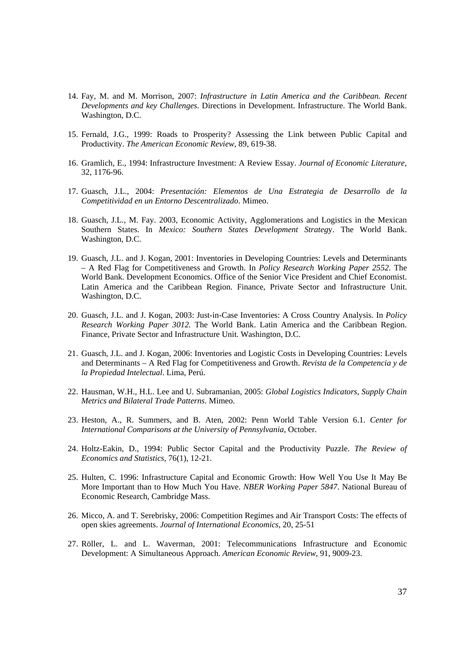- 14. Fay, M. and M. Morrison, 2007: *Infrastructure in Latin America and the Caribbean. Recent Developments and key Challenges*. Directions in Development. Infrastructure. The World Bank. Washington, D.C.
- 15. Fernald, J.G., 1999: Roads to Prosperity? Assessing the Link between Public Capital and Productivity. *The American Economic Review*, 89, 619-38.
- 16. Gramlich, E., 1994: Infrastructure Investment: A Review Essay. *Journal of Economic Literature*, 32, 1176-96.
- 17. Guasch, J.L., 2004: *Presentación: Elementos de Una Estrategia de Desarrollo de la Competitividad en un Entorno Descentralizado*. Mimeo.
- 18. Guasch, J.L., M. Fay. 2003, Economic Activity, Agglomerations and Logistics in the Mexican Southern States. In *Mexico: Southern States Development Strateg*y. The World Bank. Washington, D.C.
- 19. Guasch, J.L. and J. Kogan, 2001: Inventories in Developing Countries: Levels and Determinants – A Red Flag for Competitiveness and Growth. In *Policy Research Working Paper 2552.* The World Bank. Development Economics. Office of the Senior Vice President and Chief Economist. Latin America and the Caribbean Region. Finance, Private Sector and Infrastructure Unit. Washington, D.C.
- 20. Guasch, J.L. and J. Kogan, 2003: Just-in-Case Inventories: A Cross Country Analysis. In *Policy Research Working Paper 3012.* The World Bank. Latin America and the Caribbean Region. Finance, Private Sector and Infrastructure Unit. Washington, D.C.
- 21. Guasch, J.L. and J. Kogan, 2006: Inventories and Logistic Costs in Developing Countries: Levels and Determinants – A Red Flag for Competitiveness and Growth. *Revista de la Competencia y de la Propiedad Intelectual*. Lima, Perú.
- 22. Hausman, W.H., H.L. Lee and U. Subramanian, 2005: *Global Logistics Indicators, Supply Chain Metrics and Bilateral Trade Patterns*. Mimeo.
- 23. Heston, A., R. Summers, and B. Aten, 2002: Penn World Table Version 6.1. *Center for International Comparisons at the University of Pennsylvania*, October.
- 24. Holtz-Eakin, D., 1994: Public Sector Capital and the Productivity Puzzle. *The Review of Economics and Statistics*, 76(1), 12-21.
- 25. Hulten, C. 1996: Infrastructure Capital and Economic Growth: How Well You Use It May Be More Important than to How Much You Have. *NBER Working Paper 5847*. National Bureau of Economic Research, Cambridge Mass.
- 26. Micco, A. and T. Serebrisky, 2006: Competition Regimes and Air Transport Costs: The effects of open skies agreements. *Journal of International Economics*, 20, 25-51
- 27. Röller, L. and L. Waverman, 2001: Telecommunications Infrastructure and Economic Development: A Simultaneous Approach. *American Economic Review*, 91, 9009-23.